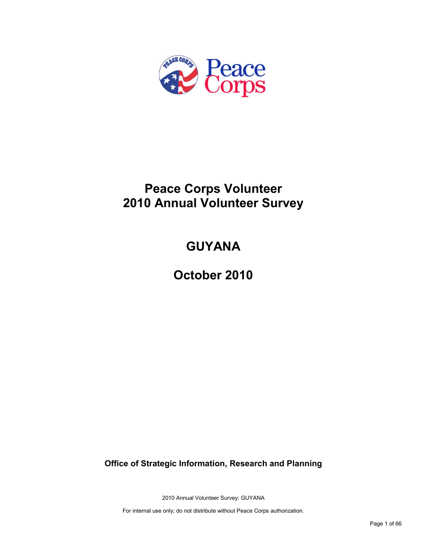

# **Peace Corps Volunteer 2010 Annual Volunteer Survey**

# **GUYANA**

**October 2010**

**Office of Strategic Information, Research and Planning**

2010 Annual Volunteer Survey: GUYANA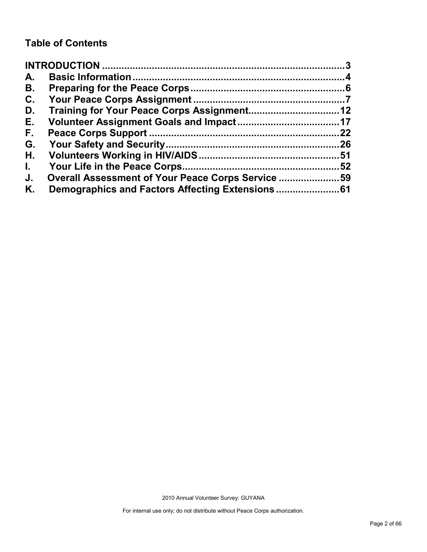## **Table of Contents**

| A.           |                                                   |     |
|--------------|---------------------------------------------------|-----|
| В.           |                                                   |     |
| C.           |                                                   |     |
| D.           |                                                   |     |
| Е.           |                                                   |     |
| F.,          |                                                   | 22  |
| G.           |                                                   |     |
| Н.           |                                                   |     |
| $\mathbf{L}$ |                                                   | .52 |
| J.           | Overall Assessment of Your Peace Corps Service 59 |     |
| Κ.           |                                                   |     |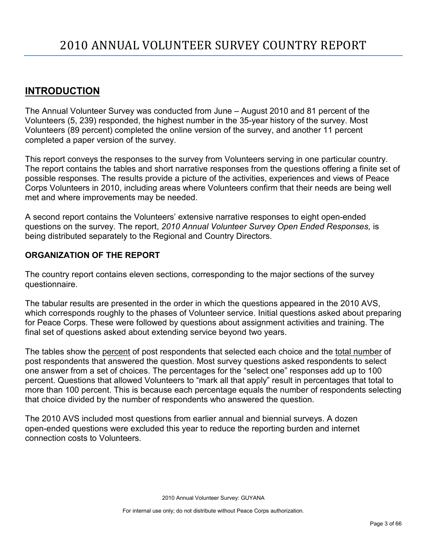## <span id="page-2-0"></span>**INTRODUCTION**

The Annual Volunteer Survey was conducted from June – August 2010 and 81 percent of the Volunteers (5, 239) responded, the highest number in the 35-year history of the survey. Most Volunteers (89 percent) completed the online version of the survey, and another 11 percent completed a paper version of the survey.

This report conveys the responses to the survey from Volunteers serving in one particular country. The report contains the tables and short narrative responses from the questions offering a finite set of possible responses. The results provide a picture of the activities, experiences and views of Peace Corps Volunteers in 2010, including areas where Volunteers confirm that their needs are being well met and where improvements may be needed.

A second report contains the Volunteers' extensive narrative responses to eight open-ended questions on the survey. The report, *2010 Annual Volunteer Survey Open Ended Responses,* is being distributed separately to the Regional and Country Directors.

## **ORGANIZATION OF THE REPORT**

The country report contains eleven sections, corresponding to the major sections of the survey questionnaire.

The tabular results are presented in the order in which the questions appeared in the 2010 AVS, which corresponds roughly to the phases of Volunteer service. Initial questions asked about preparing for Peace Corps. These were followed by questions about assignment activities and training. The final set of questions asked about extending service beyond two years.

The tables show the percent of post respondents that selected each choice and the total number of post respondents that answered the question. Most survey questions asked respondents to select one answer from a set of choices. The percentages for the "select one" responses add up to 100 percent. Questions that allowed Volunteers to "mark all that apply" result in percentages that total to more than 100 percent. This is because each percentage equals the number of respondents selecting that choice divided by the number of respondents who answered the question.

The 2010 AVS included most questions from earlier annual and biennial surveys. A dozen open-ended questions were excluded this year to reduce the reporting burden and internet connection costs to Volunteers.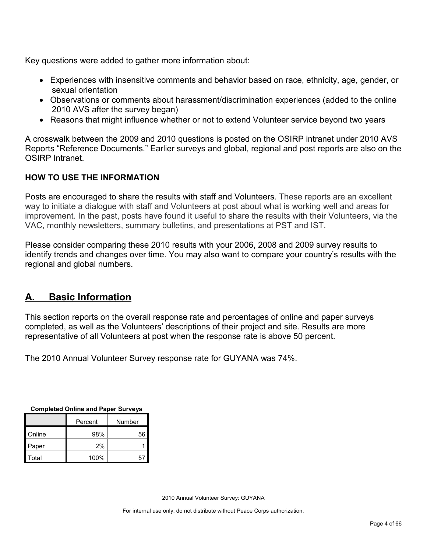Key questions were added to gather more information about:

- Experiences with insensitive comments and behavior based on race, ethnicity, age, gender, or sexual orientation
- Observations or comments about harassment/discrimination experiences (added to the online 2010 AVS after the survey began)
- Reasons that might influence whether or not to extend Volunteer service beyond two years

A crosswalk between the 2009 and 2010 questions is posted on the OSIRP intranet under 2010 AVS Reports "Reference Documents." Earlier surveys and global, regional and post reports are also on the OSIRP Intranet.

## **HOW TO USE THE INFORMATION**

Posts are encouraged to share the results with staff and Volunteers. These reports are an excellent way to initiate a dialogue with staff and Volunteers at post about what is working well and areas for improvement. In the past, posts have found it useful to share the results with their Volunteers, via the VAC, monthly newsletters, summary bulletins, and presentations at PST and IST.

Please consider comparing these 2010 results with your 2006, 2008 and 2009 survey results to identify trends and changes over time. You may also want to compare your country's results with the regional and global numbers.

## <span id="page-3-0"></span>**A. Basic Information**

This section reports on the overall response rate and percentages of online and paper surveys completed, as well as the Volunteers' descriptions of their project and site. Results are more representative of all Volunteers at post when the response rate is above 50 percent.

The 2010 Annual Volunteer Survey response rate for GUYANA was 74%.

| <b>Completed Online and Paper Surveys</b> |
|-------------------------------------------|
|-------------------------------------------|

|        | Percent | Number |
|--------|---------|--------|
| Online | 98%     | 56     |
| Paper  | 2%      |        |
| Total  | 100%    |        |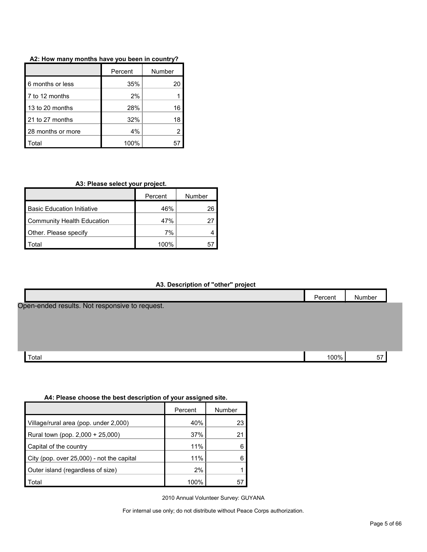|                   | Percent | Number |  |
|-------------------|---------|--------|--|
| 6 months or less  | 35%     | 20     |  |
| 7 to 12 months    | 2%      |        |  |
| 13 to 20 months   | 28%     | 16     |  |
| 21 to 27 months   | 32%     | 18     |  |
| 28 months or more | 4%      |        |  |
| otal              | 100%    |        |  |

## **A3: Please select your project.**

|                                   | Percent | Number |
|-----------------------------------|---------|--------|
| <b>Basic Education Initiative</b> | 46%     | 26     |
| <b>Community Health Education</b> | 47%     | 27     |
| Other. Please specify             | 7%      |        |
| งtal                              | 100%    |        |

## **A3. Description of "other" project**

|                                                | Percent | Number |  |
|------------------------------------------------|---------|--------|--|
| Open-ended results. Not responsive to request. |         |        |  |
|                                                |         |        |  |
|                                                |         |        |  |
|                                                |         |        |  |
| Total                                          | 100%    | 57     |  |

#### **A4: Please choose the best description of your assigned site.**

|                                           | Percent | Number |
|-------------------------------------------|---------|--------|
| Village/rural area (pop. under 2,000)     | 40%     | 23     |
| Rural town (pop. 2,000 + 25,000)          | 37%     | 21     |
| Capital of the country                    | 11%     |        |
| City (pop. over 25,000) - not the capital | 11%     |        |
| Outer island (regardless of size)         | 2%      |        |
| Total                                     | 100%    | 5      |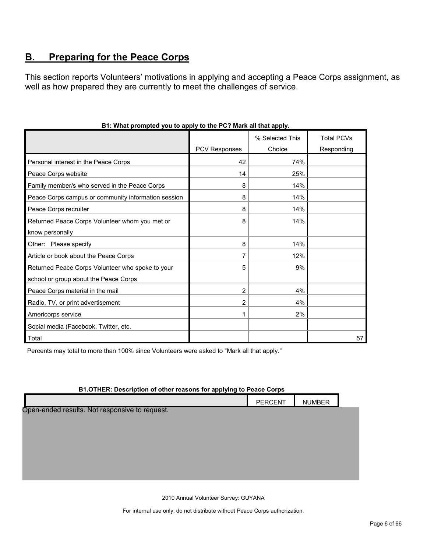## <span id="page-5-0"></span>**B. Preparing for the Peace Corps**

This section reports Volunteers' motivations in applying and accepting a Peace Corps assignment, as well as how prepared they are currently to meet the challenges of service.

|                                                     |                      | % Selected This | <b>Total PCVs</b> |
|-----------------------------------------------------|----------------------|-----------------|-------------------|
|                                                     | <b>PCV Responses</b> | Choice          | Responding        |
| Personal interest in the Peace Corps                | 42                   | 74%             |                   |
| Peace Corps website                                 | 14                   | 25%             |                   |
| Family member/s who served in the Peace Corps       | 8                    | 14%             |                   |
| Peace Corps campus or community information session | 8                    | 14%             |                   |
| Peace Corps recruiter                               | 8                    | 14%             |                   |
| Returned Peace Corps Volunteer whom you met or      | 8                    | 14%             |                   |
| know personally                                     |                      |                 |                   |
| Other: Please specify                               | 8                    | 14%             |                   |
| Article or book about the Peace Corps               | 7                    | 12%             |                   |
| Returned Peace Corps Volunteer who spoke to your    | 5                    | 9%              |                   |
| school or group about the Peace Corps               |                      |                 |                   |
| Peace Corps material in the mail                    | 2                    | 4%              |                   |
| Radio, TV, or print advertisement                   | 2                    | 4%              |                   |
| Americorps service                                  |                      | 2%              |                   |
| Social media (Facebook, Twitter, etc.               |                      |                 |                   |
| Total                                               |                      |                 | 57                |

## **B1: What prompted you to apply to the PC? Mark all that apply.**

Percents may total to more than 100% since Volunteers were asked to "Mark all that apply."

#### **B1.OTHER: Description of other reasons for applying to Peace Corps**

|                                                | PERCENT | <b>NUMBER</b> |  |
|------------------------------------------------|---------|---------------|--|
| Open-ended results. Not responsive to request. |         |               |  |
|                                                |         |               |  |
|                                                |         |               |  |
|                                                |         |               |  |
|                                                |         |               |  |
|                                                |         |               |  |

2010 Annual Volunteer Survey: GUYANA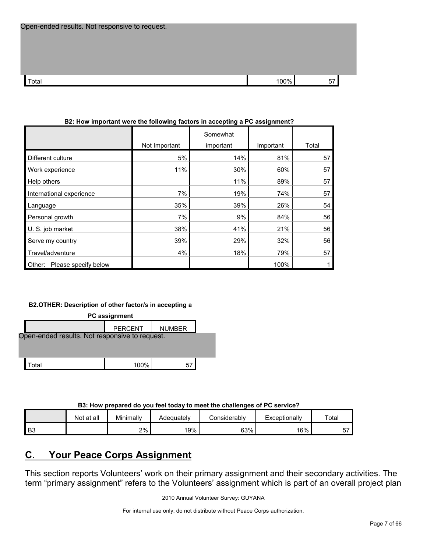| $\tau$ otal | 0.00 |  |
|-------------|------|--|
|             |      |  |

| 2. TIOW IMPORANT WEIT THE TONOWING RECTORS IN ACCEPTING A FIV ASSIGNMENT: |               |                       |           |       |  |
|---------------------------------------------------------------------------|---------------|-----------------------|-----------|-------|--|
|                                                                           | Not Important | Somewhat<br>important | Important | Total |  |
| Different culture                                                         | 5%            | 14%                   | 81%       | 57    |  |
| Work experience                                                           | 11%           | 30%                   | 60%       | 57    |  |
| Help others                                                               |               | 11%                   | 89%       | 57    |  |
| International experience                                                  | 7%            | 19%                   | 74%       | 57    |  |
| Language                                                                  | 35%           | 39%                   | 26%       | 54    |  |
| Personal growth                                                           | 7%            | 9%                    | 84%       | 56    |  |
| U. S. job market                                                          | 38%           | 41%                   | 21%       | 56    |  |
| Serve my country                                                          | 39%           | 29%                   | 32%       | 56    |  |
| Travel/adventure                                                          | 4%            | 18%                   | 79%       | 57    |  |
| Please specify below<br>Other:                                            |               |                       | 100%      |       |  |

#### **B2: How important were the following factors in accepting a PC assignment?**

#### **B2.OTHER: Description of other factor/s in accepting a**



**B3: How prepared do you feel today to meet the challenges of PC service?**

|                | Not at all | Minimallv | Adequately | Considerabl∨ | Exceptionally | Total   |
|----------------|------------|-----------|------------|--------------|---------------|---------|
| B <sub>3</sub> |            | 2%        | 19%        | 63%          | 16%           | --<br>ັ |

## <span id="page-6-0"></span>**C. Your Peace Corps Assignment**

This section reports Volunteers' work on their primary assignment and their secondary activities. The term "primary assignment" refers to the Volunteers' assignment which is part of an overall project plan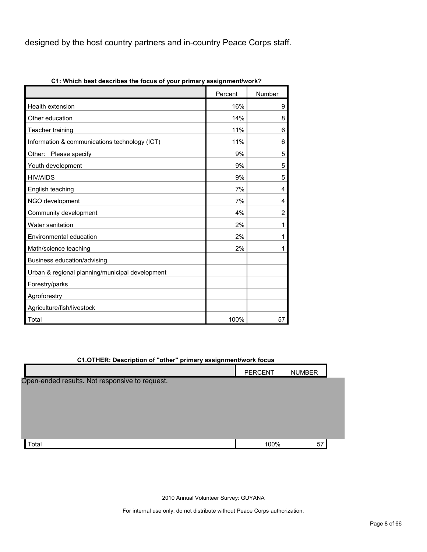designed by the host country partners and in-country Peace Corps staff.

| C1: which best describes the focus of your primary assignment/work? |         |                |
|---------------------------------------------------------------------|---------|----------------|
|                                                                     | Percent | Number         |
| <b>Health extension</b>                                             | 16%     | 9              |
| Other education                                                     | 14%     | 8              |
| Teacher training                                                    | 11%     | 6              |
| Information & communications technology (ICT)                       | 11%     | 6              |
| Other: Please specify                                               | 9%      | 5              |
| Youth development                                                   | 9%      | 5              |
| <b>HIV/AIDS</b>                                                     | 9%      | 5              |
| English teaching                                                    | 7%      | 4              |
| NGO development                                                     | 7%      | 4              |
| Community development                                               | 4%      | $\overline{c}$ |
| Water sanitation                                                    | 2%      | 1              |
| Environmental education                                             | 2%      | 1              |
| Math/science teaching                                               | 2%      | 1              |
| Business education/advising                                         |         |                |
| Urban & regional planning/municipal development                     |         |                |
| Forestry/parks                                                      |         |                |
| Agroforestry                                                        |         |                |
| Agriculture/fish/livestock                                          |         |                |
| Total                                                               | 100%    | 57             |

**C1: Which best describes the focus of your primary assignment/work?**

## **C1.OTHER: Description of "other" primary assignment/work focus**

|                                                | <b>PERCENT</b> | <b>NUMBER</b> |  |
|------------------------------------------------|----------------|---------------|--|
| Open-ended results. Not responsive to request. |                |               |  |
|                                                |                |               |  |
| Total                                          | 100%           | 57            |  |

2010 Annual Volunteer Survey: GUYANA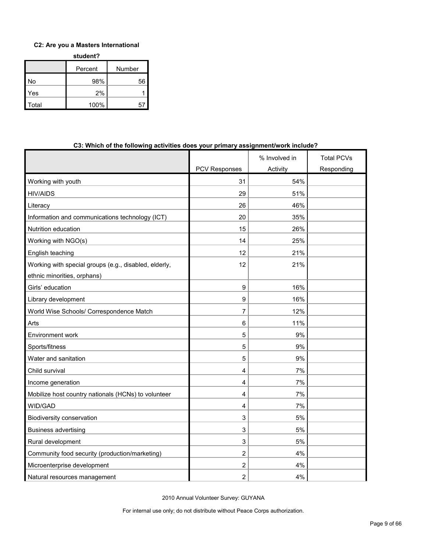### **C2: Are you a Masters International**

**student?**

|       | Percent | Number |
|-------|---------|--------|
| No    | 98%     | 56     |
| Yes   | 2%      |        |
| Total | 100%    | 57     |

| <b>THE REPORT OF A LOCAL PROPERTY AND A</b> LOCAL PUTTER <b>I</b> REPORT OF A LOCAL PROPERTY OF A LOCAL PROPERTY OF A LOCAL PROPERTY OF A LOCAL PROPERTY OF A LOCAL PROPERTY OF A LOCAL PROPERTY OF A LOCAL PROPERTY OF A LOCAL PROPERTY |                      |               |                   |
|------------------------------------------------------------------------------------------------------------------------------------------------------------------------------------------------------------------------------------------|----------------------|---------------|-------------------|
|                                                                                                                                                                                                                                          |                      | % Involved in | <b>Total PCVs</b> |
|                                                                                                                                                                                                                                          | <b>PCV Responses</b> | Activity      | Responding        |
| Working with youth                                                                                                                                                                                                                       | 31                   | 54%           |                   |
| <b>HIV/AIDS</b>                                                                                                                                                                                                                          | 29                   | 51%           |                   |
| Literacy                                                                                                                                                                                                                                 | 26                   | 46%           |                   |
| Information and communications technology (ICT)                                                                                                                                                                                          | 20                   | 35%           |                   |
| Nutrition education                                                                                                                                                                                                                      | 15                   | 26%           |                   |
| Working with NGO(s)                                                                                                                                                                                                                      | 14                   | 25%           |                   |
| English teaching                                                                                                                                                                                                                         | 12                   | 21%           |                   |
| Working with special groups (e.g., disabled, elderly,                                                                                                                                                                                    | 12                   | 21%           |                   |
| ethnic minorities, orphans)                                                                                                                                                                                                              |                      |               |                   |
| Girls' education                                                                                                                                                                                                                         | 9                    | 16%           |                   |
| Library development                                                                                                                                                                                                                      | 9                    | 16%           |                   |
| World Wise Schools/ Correspondence Match                                                                                                                                                                                                 | 7                    | 12%           |                   |
| Arts                                                                                                                                                                                                                                     | 6                    | 11%           |                   |
| Environment work                                                                                                                                                                                                                         | 5                    | $9\%$         |                   |
| Sports/fitness                                                                                                                                                                                                                           | 5                    | 9%            |                   |
| Water and sanitation                                                                                                                                                                                                                     | 5                    | 9%            |                   |
| Child survival                                                                                                                                                                                                                           | 4                    | 7%            |                   |
| Income generation                                                                                                                                                                                                                        | 4                    | 7%            |                   |
| Mobilize host country nationals (HCNs) to volunteer                                                                                                                                                                                      | 4                    | 7%            |                   |
| WID/GAD                                                                                                                                                                                                                                  | 4                    | 7%            |                   |
| <b>Biodiversity conservation</b>                                                                                                                                                                                                         | 3                    | 5%            |                   |
| <b>Business advertising</b>                                                                                                                                                                                                              | 3                    | 5%            |                   |
| Rural development                                                                                                                                                                                                                        | 3                    | 5%            |                   |
| Community food security (production/marketing)                                                                                                                                                                                           | 2                    | 4%            |                   |
| Microenterprise development                                                                                                                                                                                                              | 2                    | 4%            |                   |
| Natural resources management                                                                                                                                                                                                             | 2                    | 4%            |                   |

### **C3: Which of the following activities does your primary assignment/work include?**

2010 Annual Volunteer Survey: GUYANA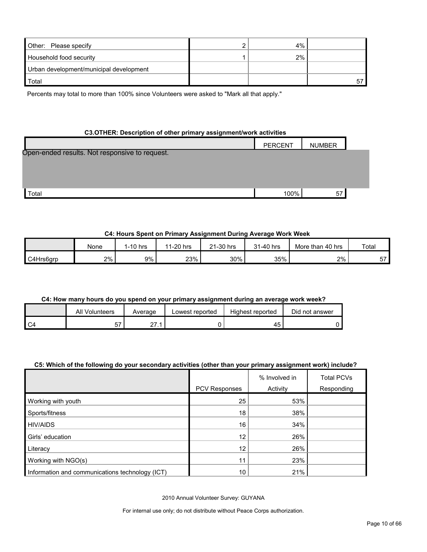| Other: Please specify                   | 4% |  |
|-----------------------------------------|----|--|
| Household food security                 | 2% |  |
| Urban development/municipal development |    |  |
| Total                                   |    |  |

Percents may total to more than 100% since Volunteers were asked to "Mark all that apply."

#### **C3.OTHER: Description of other primary assignment/work activities**

|                                                | <b>PERCENT</b> | <b>NUMBER</b> |  |
|------------------------------------------------|----------------|---------------|--|
| Open-ended results. Not responsive to request. |                |               |  |
|                                                |                |               |  |
|                                                |                |               |  |
| Total                                          | 100%           | 57            |  |

#### **C4: Hours Spent on Primary Assignment During Average Work Week**

|           | None | $1-10$<br>hrs | 11-20 hrs | 21-30 hrs<br>$^{\circ}$ | 31-40 hrs | More than 40 hrs | Total |
|-----------|------|---------------|-----------|-------------------------|-----------|------------------|-------|
| C4Hrs6grp | 2%   | 9%            | 23%       | 30%                     | 35%       | 2%               | --    |

### **C4: How many hours do you spend on your primary assignment during an average work week?**

| All '<br>Volunteers | Average | Lowest reported | Highest reported | Did not answer |
|---------------------|---------|-----------------|------------------|----------------|
| --                  | ^7      |                 | ⊿⊷<br>᠇◡         |                |

#### **C5: Which of the following do your secondary activities (other than your primary assignment work) include?**

|                                                 |                      | % Involved in | <b>Total PCVs</b> |
|-------------------------------------------------|----------------------|---------------|-------------------|
|                                                 | <b>PCV Responses</b> | Activity      | Responding        |
| Working with youth                              | 25                   | 53%           |                   |
| Sports/fitness                                  | 18                   | 38%           |                   |
| <b>HIV/AIDS</b>                                 | 16                   | 34%           |                   |
| Girls' education                                | 12                   | 26%           |                   |
| Literacy                                        | 12                   | 26%           |                   |
| Working with NGO(s)                             | 11                   | 23%           |                   |
| Information and communications technology (ICT) | 10                   | 21%           |                   |

2010 Annual Volunteer Survey: GUYANA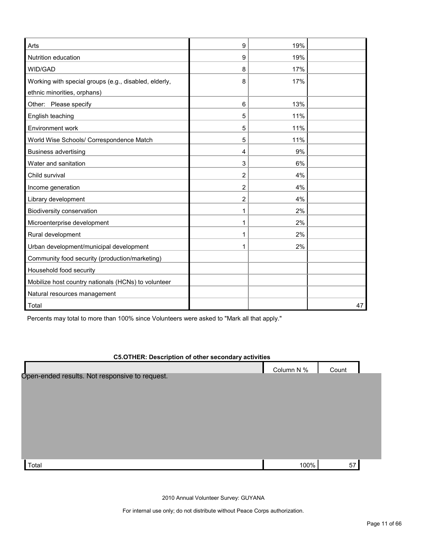| Arts                                                  | 9 | 19% |    |
|-------------------------------------------------------|---|-----|----|
| Nutrition education                                   | 9 | 19% |    |
| WID/GAD                                               | 8 | 17% |    |
| Working with special groups (e.g., disabled, elderly, | 8 | 17% |    |
| ethnic minorities, orphans)                           |   |     |    |
| Other: Please specify                                 | 6 | 13% |    |
| English teaching                                      | 5 | 11% |    |
| Environment work                                      | 5 | 11% |    |
| World Wise Schools/ Correspondence Match              | 5 | 11% |    |
| <b>Business advertising</b>                           | 4 | 9%  |    |
| Water and sanitation                                  | 3 | 6%  |    |
| Child survival                                        | 2 | 4%  |    |
| Income generation                                     | 2 | 4%  |    |
| Library development                                   | 2 | 4%  |    |
| Biodiversity conservation                             | 1 | 2%  |    |
| Microenterprise development                           | 1 | 2%  |    |
| Rural development                                     | 1 | 2%  |    |
| Urban development/municipal development               | 1 | 2%  |    |
| Community food security (production/marketing)        |   |     |    |
| Household food security                               |   |     |    |
| Mobilize host country nationals (HCNs) to volunteer   |   |     |    |
| Natural resources management                          |   |     |    |
| Total                                                 |   |     | 47 |

Percents may total to more than 100% since Volunteers were asked to "Mark all that apply."

#### **C5.OTHER: Description of other secondary activities**

| Column N %<br>Count                            |    |
|------------------------------------------------|----|
| Open-ended results. Not responsive to request. |    |
|                                                |    |
|                                                |    |
|                                                |    |
|                                                |    |
|                                                |    |
|                                                |    |
|                                                |    |
| Total<br>100%                                  | 57 |

2010 Annual Volunteer Survey: GUYANA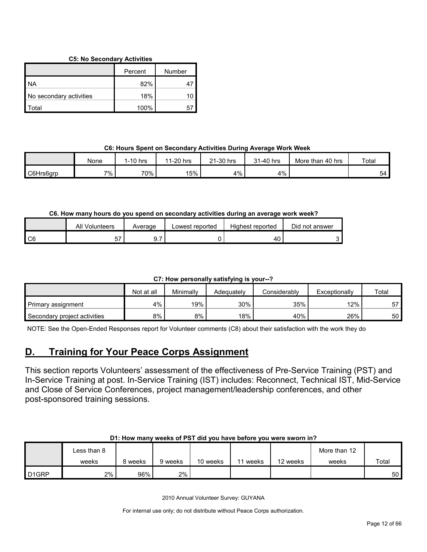#### **C5: No Secondary Activities**

|                         | Percent | Number |
|-------------------------|---------|--------|
| I NA                    | 82%     |        |
| No secondary activities | 18%     |        |
| l Total                 | 100%    |        |

## **C6: Hours Spent on Secondary Activities During Average Work Week**

|           | None | $1-10$ hrs | 1-20 hrs<br>44 | 21-30 hrs<br>$^{\circ}$ | 31-40 hrs | More than 40 hrs | Total |
|-----------|------|------------|----------------|-------------------------|-----------|------------------|-------|
| C6Hrs6arp | 7%   | 70%        | 15%            | 4%                      | 4%        |                  | 54    |

## **C6. How many hours do you spend on secondary activities during an average work week?**

|      | ΑIΙ<br>Volunteers | Average | Lowest reported | Highest reported | Did not answer |
|------|-------------------|---------|-----------------|------------------|----------------|
| I C6 | --                | ັ. ເ    |                 |                  |                |

## **C7: How personally satisfying is your--?**

|                              | Not at all | Minimally | Adeauatelv | Considerablv | Exceptionally | Total |
|------------------------------|------------|-----------|------------|--------------|---------------|-------|
| Primary assignment           | 4%         | 19%       | 30%        | 35%          | 12%           | 57    |
| Secondary project activities | 8%         | 8%        | 18%        | 40%          | 26%           | 50 I  |

NOTE: See the Open-Ended Responses report for Volunteer comments (C8) about their satisfaction with the work they do

## <span id="page-11-0"></span>**D. Training for Your Peace Corps Assignment**

This section reports Volunteers' assessment of the effectiveness of Pre-Service Training (PST) and In-Service Training at post. In-Service Training (IST) includes: Reconnect, Technical IST, Mid-Service and Close of Service Conferences, project management/leadership conferences, and other post-sponsored training sessions.

|                    | Less than 8 |         |         |          |       |          | More than 12 |       |
|--------------------|-------------|---------|---------|----------|-------|----------|--------------|-------|
|                    | weeks       | } weeks | 9 weeks | 10 weeks | weeks | 12 weeks | weeks        | Total |
| D <sub>1</sub> GRP | $2\%$       | 96%     | 2%      |          |       |          |              | 50 I  |

#### **D1: How many weeks of PST did you have before you were sworn in?**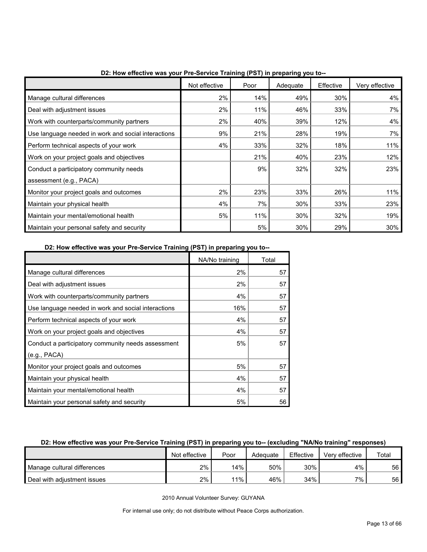|                                                     | Not effective | Poor | Adequate | Effective | Very effective |
|-----------------------------------------------------|---------------|------|----------|-----------|----------------|
| Manage cultural differences                         | 2%            | 14%  | 49%      | 30%       | 4%             |
| Deal with adjustment issues                         | 2%            | 11%  | 46%      | 33%       | 7%             |
| Work with counterparts/community partners           | 2%            | 40%  | 39%      | 12%       | 4%             |
| Use language needed in work and social interactions | 9%            | 21%  | 28%      | 19%       | 7%             |
| Perform technical aspects of your work              | 4%            | 33%  | 32%      | 18%       | 11%            |
| Work on your project goals and objectives           |               | 21%  | 40%      | 23%       | 12%            |
| Conduct a participatory community needs             |               | 9%   | 32%      | 32%       | 23%            |
| assessment (e.g., PACA)                             |               |      |          |           |                |
| Monitor your project goals and outcomes             | 2%            | 23%  | 33%      | 26%       | 11%            |
| Maintain your physical health                       | 4%            | 7%   | 30%      | 33%       | 23%            |
| Maintain your mental/emotional health               | 5%            | 11%  | 30%      | 32%       | 19%            |
| Maintain your personal safety and security          |               | 5%   | 30%      | 29%       | 30%            |

**D2: How effective was your Pre-Service Training (PST) in preparing you to--**

**D2: How effective was your Pre-Service Training (PST) in preparing you to--**

|                                                     | NA/No training | Total |
|-----------------------------------------------------|----------------|-------|
| Manage cultural differences                         | 2%             | 57    |
| Deal with adjustment issues                         | 2%             | 57    |
| Work with counterparts/community partners           | 4%             | 57    |
| Use language needed in work and social interactions | 16%            | 57    |
| Perform technical aspects of your work              | 4%             | 57    |
| Work on your project goals and objectives           | 4%             | 57    |
| Conduct a participatory community needs assessment  | 5%             | 57    |
| (e.g., PACA)                                        |                |       |
| Monitor your project goals and outcomes             | 5%             | 57    |
| Maintain your physical health                       | 4%             | 57    |
| Maintain your mental/emotional health               | 4%             | 57    |
| Maintain your personal safety and security          | 5%             | 56    |

## **D2: How effective was your Pre-Service Training (PST) in preparing you to-- (excluding "NA/No training" responses)**

|                             | Not effective | Poor   | Adequate | Effective | Very effective | Total |
|-----------------------------|---------------|--------|----------|-----------|----------------|-------|
| Manage cultural differences | 2%            | 14%    | 50%      | 30%       | 4%             | 56 I  |
| Deal with adiustment issues | 2%            | $11\%$ | 46%      | 34%       | 7%             | 56 I  |

2010 Annual Volunteer Survey: GUYANA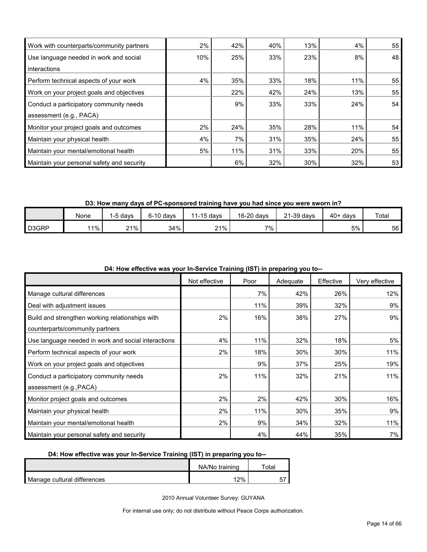| Work with counterparts/community partners  | 2%  | 42% | 40% | 13% | 4%  | 55 |
|--------------------------------------------|-----|-----|-----|-----|-----|----|
| Use language needed in work and social     | 10% | 25% | 33% | 23% | 8%  | 48 |
| <b>l</b> interactions                      |     |     |     |     |     |    |
| Perform technical aspects of your work     | 4%  | 35% | 33% | 18% | 11% | 55 |
| Work on your project goals and objectives  |     | 22% | 42% | 24% | 13% | 55 |
| Conduct a participatory community needs    |     | 9%  | 33% | 33% | 24% | 54 |
| assessment (e.g., PACA)                    |     |     |     |     |     |    |
| Monitor your project goals and outcomes    | 2%  | 24% | 35% | 28% | 11% | 54 |
| Maintain your physical health              | 4%  | 7%  | 31% | 35% | 24% | 55 |
| Maintain your mental/emotional health      | 5%  | 11% | 31% | 33% | 20% | 55 |
| Maintain your personal safety and security |     | 6%  | 32% | 30% | 32% | 53 |

**D3: How many days of PC-sponsored training have you had since you were sworn in?**

|                    | None  | davs | $6-10$ days | 11-15 days | 16-20 days | 21-39 days | $40+$ days | Total |
|--------------------|-------|------|-------------|------------|------------|------------|------------|-------|
| D <sub>3</sub> GRP | $1\%$ | 21%  | 34%         | 21%        | $7\%$      |            | 5%         | 56 I  |

| D4: How effective was your In-Service Training (IST) in preparing you to-- |  |
|----------------------------------------------------------------------------|--|
|----------------------------------------------------------------------------|--|

|                                                     | Not effective | Poor | Adequate | Effective | Very effective |
|-----------------------------------------------------|---------------|------|----------|-----------|----------------|
| Manage cultural differences                         |               | 7%   | 42%      | 26%       | 12%            |
| Deal with adjustment issues                         |               | 11%  | 39%      | 32%       | 9%             |
| Build and strengthen working relationships with     | 2%            | 16%  | 38%      | 27%       | 9%             |
| counterparts/community partners                     |               |      |          |           |                |
| Use language needed in work and social interactions | 4%            | 11%  | 32%      | 18%       | 5%             |
| Perform technical aspects of your work              | 2%            | 18%  | 30%      | 30%       | 11%            |
| Work on your project goals and objectives           |               | 9%   | 37%      | 25%       | 19%            |
| Conduct a participatory community needs             | 2%            | 11%  | 32%      | 21%       | 11%            |
| assessment (e.g., PACA)                             |               |      |          |           |                |
| Monitor project goals and outcomes                  | 2%            | 2%   | 42%      | 30%       | 16%            |
| Maintain your physical health                       | 2%            | 11%  | 30%      | 35%       | 9%             |
| Maintain your mental/emotional health               | 2%            | 9%   | 34%      | 32%       | 11%            |
| Maintain your personal safety and security          |               | 4%   | 44%      | 35%       | 7%             |

## **D4: How effective was your In-Service Training (IST) in preparing you to--**

|                             | NA/No training | ™otal |
|-----------------------------|----------------|-------|
| Manage cultural differences | 12%            |       |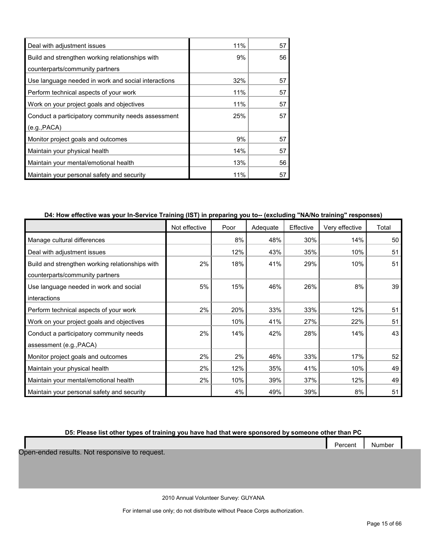| Deal with adjustment issues                         | 11% | 57 |
|-----------------------------------------------------|-----|----|
| Build and strengthen working relationships with     | 9%  | 56 |
| counterparts/community partners                     |     |    |
| Use language needed in work and social interactions | 32% | 57 |
| Perform technical aspects of your work              | 11% | 57 |
| Work on your project goals and objectives           | 11% | 57 |
| Conduct a participatory community needs assessment  | 25% | 57 |
| (e.g., PACA)                                        |     |    |
| Monitor project goals and outcomes                  | 9%  | 57 |
| Maintain your physical health                       | 14% | 57 |
| Maintain your mental/emotional health               | 13% | 56 |
| Maintain your personal safety and security          | 11% | 57 |

#### **D4: How effective was your In-Service Training (IST) in preparing you to-- (excluding "NA/No training" responses)**

|                                                 | Not effective | Poor | Adequate | Effective | Very effective | Total |
|-------------------------------------------------|---------------|------|----------|-----------|----------------|-------|
| Manage cultural differences                     |               | 8%   | 48%      | 30%       | 14%            | 50    |
| Deal with adjustment issues                     |               | 12%  | 43%      | 35%       | 10%            | 51    |
| Build and strengthen working relationships with | 2%            | 18%  | 41%      | 29%       | 10%            | 51    |
| counterparts/community partners                 |               |      |          |           |                |       |
| Use language needed in work and social          | 5%            | 15%  | 46%      | 26%       | 8%             | 39    |
| interactions                                    |               |      |          |           |                |       |
| Perform technical aspects of your work          | 2%            | 20%  | 33%      | 33%       | 12%            | 51    |
| Work on your project goals and objectives       |               | 10%  | 41%      | 27%       | 22%            | 51    |
| Conduct a participatory community needs         | 2%            | 14%  | 42%      | 28%       | 14%            | 43    |
| assessment (e.g., PACA)                         |               |      |          |           |                |       |
| Monitor project goals and outcomes              | 2%            | 2%   | 46%      | 33%       | 17%            | 52    |
| Maintain your physical health                   | 2%            | 12%  | 35%      | 41%       | 10%            | 49    |
| Maintain your mental/emotional health           | 2%            | 10%  | 39%      | 37%       | 12%            | 49    |
| Maintain your personal safety and security      |               | 4%   | 49%      | 39%       | 8%             | 51    |

**D5: Please list other types of training you have had that were sponsored by someone other than PC**

Percent Number

Open-ended results. Not responsive to request.

2010 Annual Volunteer Survey: GUYANA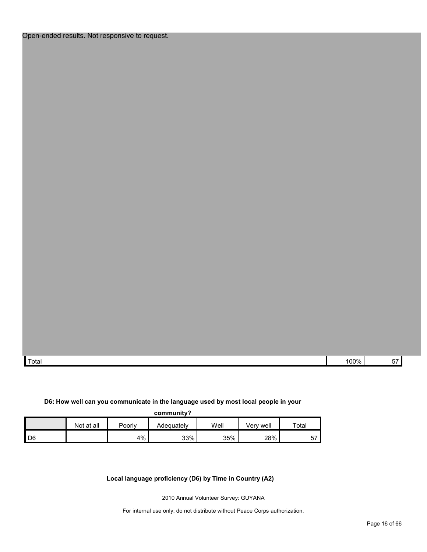Total 100% 57  $\sim$  57  $\sim$  57  $\sim$  57  $\sim$  57  $\sim$  57  $\sim$  57  $\sim$  57  $\sim$  57  $\sim$  57  $\sim$  57  $\sim$  57  $\sim$  57  $\sim$  57  $\sim$  57  $\sim$  57  $\sim$  57  $\sim$  57  $\sim$  57  $\sim$  57  $\sim$  57  $\sim$  57  $\sim$  57  $\sim$  57  $\sim$  57  $\sim$  57  $\sim$  57

## **D6: How well can you communicate in the language used by most local people in your**

**community?**

|                 | Not at all | Poorly | Adequatelv | Well | Verv well | Tota. |
|-----------------|------------|--------|------------|------|-----------|-------|
| $\overline{D6}$ |            | 4%     | 33%        | 35%  | 28%       |       |

**Local language proficiency (D6) by Time in Country (A2)**

2010 Annual Volunteer Survey: GUYANA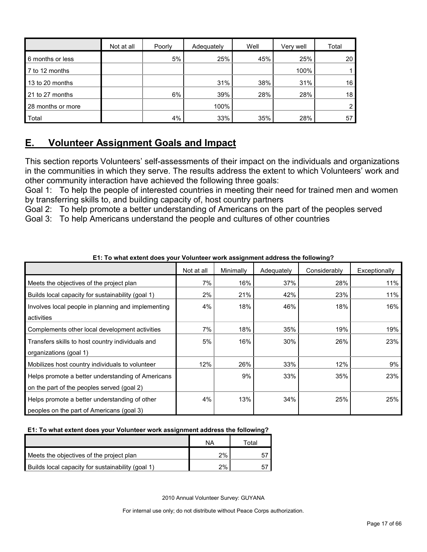|                   | Not at all | Poorly | Adequately | Well | Very well | Total          |
|-------------------|------------|--------|------------|------|-----------|----------------|
| 6 months or less  |            | 5%     | 25%        | 45%  | 25%       | 20             |
| 7 to 12 months    |            |        |            |      | 100%      |                |
| 13 to 20 months   |            |        | 31%        | 38%  | 31%       | 16             |
| 21 to 27 months   |            | 6%     | 39%        | 28%  | 28%       | 18             |
| 28 months or more |            |        | 100%       |      |           | $\overline{2}$ |
| Total             |            | 4%     | 33%        | 35%  | 28%       | 57             |

## <span id="page-16-0"></span>**E. Volunteer Assignment Goals and Impact**

This section reports Volunteers' self-assessments of their impact on the individuals and organizations in the communities in which they serve. The results address the extent to which Volunteers' work and other community interaction have achieved the following three goals:

Goal 1: To help the people of interested countries in meeting their need for trained men and women by transferring skills to, and building capacity of, host country partners

Goal 2: To help promote a better understanding of Americans on the part of the peoples served Goal 3: To help Americans understand the people and cultures of other countries

|                                                    | Not at all | Minimally | Adequately | Considerably | Exceptionally |
|----------------------------------------------------|------------|-----------|------------|--------------|---------------|
| Meets the objectives of the project plan           | 7%         | 16%       | 37%        | 28%          | 11%           |
| Builds local capacity for sustainability (goal 1)  | 2%         | 21%       | 42%        | 23%          | 11%           |
| Involves local people in planning and implementing | 4%         | 18%       | 46%        | 18%          | 16%           |
| activities                                         |            |           |            |              |               |
| Complements other local development activities     | 7%         | 18%       | 35%        | 19%          | 19%           |
| Transfers skills to host country individuals and   | 5%         | 16%       | 30%        | 26%          | 23%           |
| organizations (goal 1)                             |            |           |            |              |               |
| Mobilizes host country individuals to volunteer    | 12%        | 26%       | 33%        | 12%          | 9%            |
| Helps promote a better understanding of Americans  |            | 9%        | 33%        | 35%          | 23%           |
| on the part of the peoples served (goal 2)         |            |           |            |              |               |
| Helps promote a better understanding of other      | 4%         | 13%       | 34%        | 25%          | 25%           |
| peoples on the part of Americans (goal 3)          |            |           |            |              |               |

**E1: To what extent does your Volunteer work assignment address the following?**

## **E1: To what extent does your Volunteer work assignment address the following?**

|                                                   | ΝA    | ™otal |
|---------------------------------------------------|-------|-------|
| Meets the objectives of the project plan          | 2%    |       |
| Builds local capacity for sustainability (goal 1) | $2\%$ |       |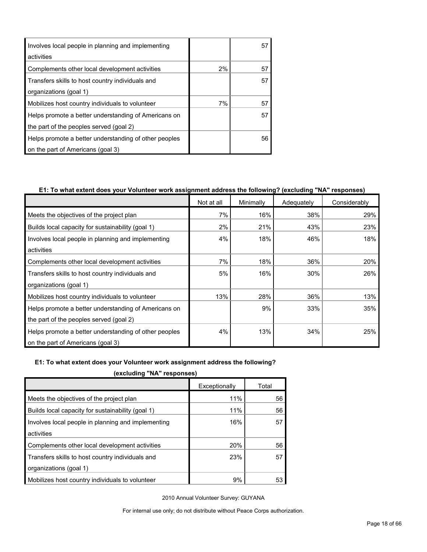| Involves local people in planning and implementing    |    | 57 |
|-------------------------------------------------------|----|----|
| activities                                            |    |    |
| Complements other local development activities        | 2% | 57 |
| Transfers skills to host country individuals and      |    | 57 |
| organizations (goal 1)                                |    |    |
| Mobilizes host country individuals to volunteer       | 7% | 57 |
| Helps promote a better understanding of Americans on  |    | 57 |
| the part of the peoples served (goal 2)               |    |    |
| Helps promote a better understanding of other peoples |    | 56 |
| on the part of Americans (goal 3)                     |    |    |

## **E1: To what extent does your Volunteer work assignment address the following? (excluding "NA" responses)**

|                                                       | Not at all | Minimally | Adequately | Considerably |
|-------------------------------------------------------|------------|-----------|------------|--------------|
| Meets the objectives of the project plan              | 7%         | 16%       | 38%        | 29%          |
| Builds local capacity for sustainability (goal 1)     | 2%         | 21%       | 43%        | 23%          |
| Involves local people in planning and implementing    | 4%         | 18%       | 46%        | 18%          |
| activities                                            |            |           |            |              |
| Complements other local development activities        | 7%         | 18%       | 36%        | 20%          |
| Transfers skills to host country individuals and      | 5%         | 16%       | 30%        | 26%          |
| organizations (goal 1)                                |            |           |            |              |
| Mobilizes host country individuals to volunteer       | 13%        | 28%       | 36%        | 13%          |
| Helps promote a better understanding of Americans on  |            | 9%        | 33%        | 35%          |
| the part of the peoples served (goal 2)               |            |           |            |              |
| Helps promote a better understanding of other peoples | 4%         | 13%       | 34%        | 25%          |
| on the part of Americans (goal 3)                     |            |           |            |              |

#### **E1: To what extent does your Volunteer work assignment address the following?**

**(excluding "NA" responses)**

| Exceptionally | Total |  |  |  |
|---------------|-------|--|--|--|
| 11%           | 56    |  |  |  |
| 11%           | 56    |  |  |  |
| 16%           | 57    |  |  |  |
|               |       |  |  |  |
| 20%           | 56    |  |  |  |
| 23%           | 57    |  |  |  |
|               |       |  |  |  |
| 9%            | 53    |  |  |  |
|               |       |  |  |  |

2010 Annual Volunteer Survey: GUYANA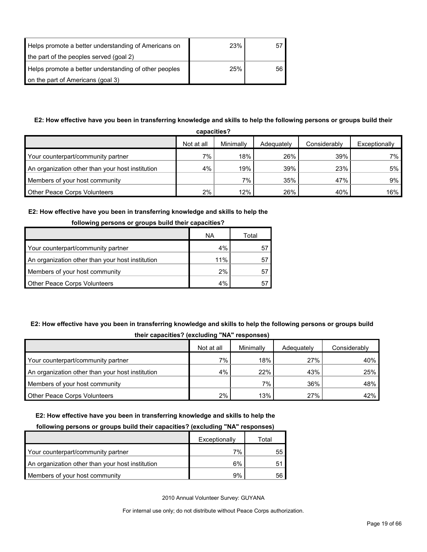| Helps promote a better understanding of Americans on  | 23% |    |
|-------------------------------------------------------|-----|----|
| the part of the peoples served (goal 2)               |     |    |
| Helps promote a better understanding of other peoples | 25% | 56 |
| on the part of Americans (goal 3)                     |     |    |

## **E2: How effective have you been in transferring knowledge and skills to help the following persons or groups build their**

| capacities?                                      |            |           |            |              |               |  |
|--------------------------------------------------|------------|-----------|------------|--------------|---------------|--|
|                                                  | Not at all | Minimally | Adequately | Considerably | Exceptionally |  |
| Your counterpart/community partner               | 7%         | 18%       | 26%        | 39%          | $7\%$         |  |
| An organization other than your host institution | 4%         | 19%       | 39%        | 23%          | 5%            |  |
| Members of your host community                   |            | $7\%$     | 35%        | 47%          | 9%            |  |
| Other Peace Corps Volunteers                     | 2%         | 12%       | 26%        | 40%          | 16%           |  |

#### **E2: How effective have you been in transferring knowledge and skills to help the**

| <b>TOROWING DETSONS OF GLOUDS DUNG LITER CAPACITIES?</b> |     |       |  |  |
|----------------------------------------------------------|-----|-------|--|--|
|                                                          | ΝA  | Total |  |  |
| Your counterpart/community partner                       | 4%  |       |  |  |
| An organization other than your host institution         | 11% | 57    |  |  |
| Members of your host community                           | 2%  | 5.    |  |  |
| <b>Other Peace Corps Volunteers</b>                      | 4%  |       |  |  |

## **following persons or groups build their capacities?**

## **E2: How effective have you been in transferring knowledge and skills to help the following persons or groups build their capacities? (excluding "NA" responses)**

|                                                  | -          |           |            |              |
|--------------------------------------------------|------------|-----------|------------|--------------|
|                                                  | Not at all | Minimally | Adequately | Considerably |
| Your counterpart/community partner               | 7%         | 18%       | 27%        | 40%          |
| An organization other than your host institution | 4%         | 22%       | 43%        | 25%          |
| Members of your host community                   |            | 7%        | 36%        | 48%          |
| <b>Other Peace Corps Volunteers</b>              | 2%         | 13%       | 27%        | 42%          |

#### **E2: How effective have you been in transferring knowledge and skills to help the**

#### **following persons or groups build their capacities? (excluding "NA" responses)**

|                                                  | Exceptionally<br>Total |    |  |
|--------------------------------------------------|------------------------|----|--|
| Your counterpart/community partner               | 7%                     | 55 |  |
| An organization other than your host institution | 6%                     | 51 |  |
| Members of your host community                   | 9%                     | 56 |  |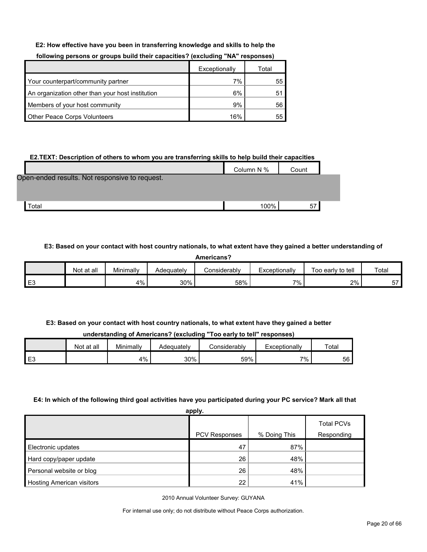#### **E2: How effective have you been in transferring knowledge and skills to help the**

|                                                  | Exceptionally | Total |
|--------------------------------------------------|---------------|-------|
| Your counterpart/community partner               | 7%            | 55    |
| An organization other than your host institution | 6%            | 51    |
| Members of your host community                   | 9%            | 56    |
| Other Peace Corps Volunteers                     | 16%           | 55    |

#### **following persons or groups build their capacities? (excluding "NA" responses)**

#### **E2.TEXT: Description of others to whom you are transferring skills to help build their capacities**

|                                                | Column N % | Count |
|------------------------------------------------|------------|-------|
| Open-ended results. Not responsive to request. |            |       |
|                                                |            |       |
| Total                                          | 100%       | 57    |

#### **E3: Based on your contact with host country nationals, to what extent have they gained a better understanding of**

**Americans?**

|                           | at all<br>Not | Minimally | Adeɑuatelv | شonsiderabl∨ | Exceptionally | Too early to tell | Total   |
|---------------------------|---------------|-----------|------------|--------------|---------------|-------------------|---------|
| $\mathbf{r}$<br>. .<br>∟ບ |               | 4%        | 30%        | 58%          | 7%            | 2%                | --<br>ູ |

## **E3: Based on your contact with host country nationals, to what extent have they gained a better understanding of Americans? (excluding "Too early to tell" responses)**

|      | Not at all | Minimally | Adequately | Considerabl∨ | Exceptionally | Totai |
|------|------------|-----------|------------|--------------|---------------|-------|
| l E3 |            | 4%        | 30%        | 59%          | 7%            | 56    |

#### **E4: In which of the following third goal activities have you participated during your PC service? Mark all that**

| apply.                           |                      |              |                                 |  |  |  |  |
|----------------------------------|----------------------|--------------|---------------------------------|--|--|--|--|
|                                  | <b>PCV Responses</b> | % Doing This | <b>Total PCVs</b><br>Responding |  |  |  |  |
| Electronic updates               | 47                   | 87%          |                                 |  |  |  |  |
| Hard copy/paper update           | 26                   | 48%          |                                 |  |  |  |  |
| Personal website or blog         | 26                   | 48%          |                                 |  |  |  |  |
| <b>Hosting American visitors</b> | 22                   | 41%          |                                 |  |  |  |  |

2010 Annual Volunteer Survey: GUYANA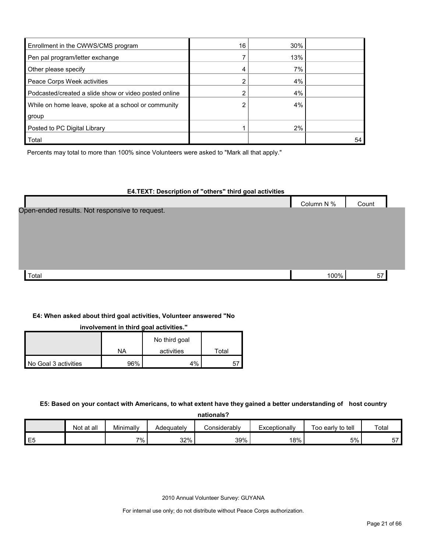| Enrollment in the CWWS/CMS program                    | 16 | 30% |    |
|-------------------------------------------------------|----|-----|----|
| Pen pal program/letter exchange                       |    | 13% |    |
| Other please specify                                  | 4  | 7%  |    |
| Peace Corps Week activities                           | ⌒  | 4%  |    |
| Podcasted/created a slide show or video posted online | ⌒  | 4%  |    |
| While on home leave, spoke at a school or community   |    | 4%  |    |
| group                                                 |    |     |    |
| Posted to PC Digital Library                          |    | 2%  |    |
| Total                                                 |    |     | 54 |

Percents may total to more than 100% since Volunteers were asked to "Mark all that apply."

#### **E4.TEXT: Description of "others" third goal activities**

|                                                | Column N % | Count |  |
|------------------------------------------------|------------|-------|--|
| Open-ended results. Not responsive to request. |            |       |  |
|                                                |            |       |  |
|                                                |            |       |  |
|                                                |            |       |  |
|                                                |            |       |  |
|                                                |            |       |  |
| Total                                          | 100%       | 57    |  |

#### **E4: When asked about third goal activities, Volunteer answered "No**

**involvement in third goal activities."** 

|                      |     | No third goal |       |
|----------------------|-----|---------------|-------|
|                      | NA  | activities    | Total |
| No Goal 3 activities | 96% | 4%            |       |

#### **E5: Based on your contact with Americans, to what extent have they gained a better understanding of host country**

**nationals?**

|                | Not at all | Minimally | Adequately | Considerabl∨ | Exceptionally | Too early to tell | Total |
|----------------|------------|-----------|------------|--------------|---------------|-------------------|-------|
| E <sub>5</sub> |            | $7\%$ .   | 32%        | 39%          | 18%           | 5%                | $-1$  |

2010 Annual Volunteer Survey: GUYANA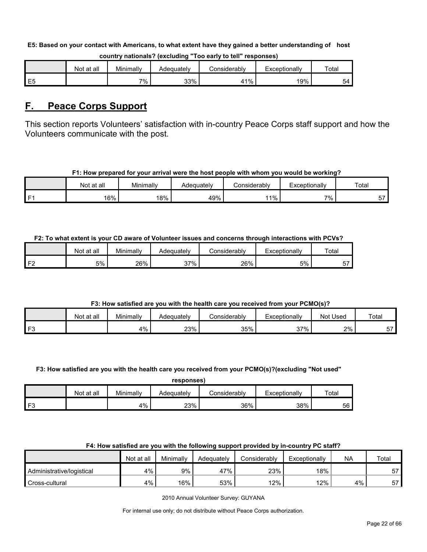#### **E5: Based on your contact with Americans, to what extent have they gained a better understanding of host**

|    | Not at all | Minimally | Adequatelv | ≿onsiderablv | Exceptionally | Total   |
|----|------------|-----------|------------|--------------|---------------|---------|
| E5 |            | 7%        | 33%        | 11%<br>4     | 19%           | hД<br>ີ |

#### **country nationals? (excluding "Too early to tell" responses)**

## <span id="page-21-0"></span>**F. Peace Corps Support**

This section reports Volunteers' satisfaction with in-country Peace Corps staff support and how the Volunteers communicate with the post.

#### **F1: How prepared for your arrival were the host people with whom you would be working?**

|      | Not at all | Minimally | Adequatelv | Considerably | Exceptionally | Total   |
|------|------------|-----------|------------|--------------|---------------|---------|
| l F1 | 6%         | ا 18%     | 49%        | 11%          | 7%            | --<br>ັ |

## **F2: To what extent is your CD aware of Volunteer issues and concerns through interactions with PCVs?**

|    | Not at all | Minimally | Adequately | こonsiderablv | Exceptionally | Total   |
|----|------------|-----------|------------|--------------|---------------|---------|
| 口り | 5%         | 26%       | 37%        | 26%          | 5%            | --<br>ີ |

## **F3: How satisfied are you with the health care you received from your PCMO(s)?**

|                  | at all<br>Not | Minimally | Adequately | Considerablv | Exceptionally<br>–∧u∺ | Used<br>Not | Total      |
|------------------|---------------|-----------|------------|--------------|-----------------------|-------------|------------|
| <b>E3</b><br>ت - |               | 4%        | 23%        | 35%          | 37%                   | 2%          | $- -$<br>ັ |

## **F3: How satisfied are you with the health care you received from your PCMO(s)?(excluding "Not used"**

**responses)**

|        | at all<br>Not | Minimally | Adeauatelv | こonsiderablv | Exceptionally | Total |
|--------|---------------|-----------|------------|--------------|---------------|-------|
| $1F^2$ |               | 4%        | 23%        | 36%          | 38%           | 56    |

## **F4: How satisfied are you with the following support provided by in-country PC staff?**

|                           | Not at all | Minimally | Adequately | Considerably | Exceptionally | <b>NA</b> | Total |
|---------------------------|------------|-----------|------------|--------------|---------------|-----------|-------|
| Administrative/logistical | 4%         | 9%        | 47%        | 23%          | 18%           |           | 67    |
| Cross-cultural            | 4%         | 16%       | 53%        | 12%          | 12%           | 4%        | 57    |

2010 Annual Volunteer Survey: GUYANA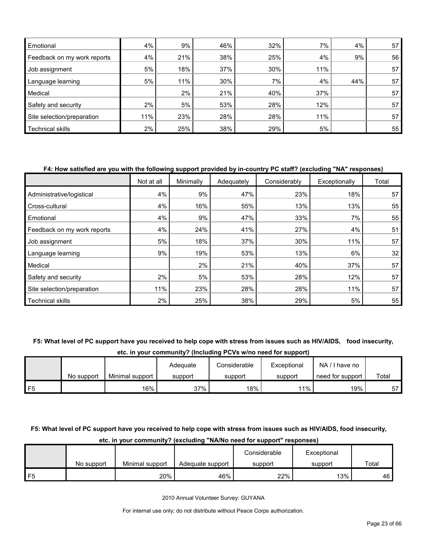| Emotional                   | 4%  | 9%  | 46% | 32% | 7%  | 4%  | 57 |
|-----------------------------|-----|-----|-----|-----|-----|-----|----|
| Feedback on my work reports | 4%  | 21% | 38% | 25% | 4%  | 9%  | 56 |
| Job assignment              | 5%  | 18% | 37% | 30% | 11% |     | 57 |
| Language learning           | 5%  | 11% | 30% | 7%  | 4%  | 44% | 57 |
| Medical                     |     | 2%  | 21% | 40% | 37% |     | 57 |
| Safety and security         | 2%  | 5%  | 53% | 28% | 12% |     | 57 |
| Site selection/preparation  | 11% | 23% | 28% | 28% | 11% |     | 57 |
| Technical skills            | 2%  | 25% | 38% | 29% | 5%  |     | 55 |

#### **F4: How satisfied are you with the following support provided by in-country PC staff? (excluding "NA" responses)**

|                             | Not at all | Minimally | Adequately | Considerably | Exceptionally | Total |
|-----------------------------|------------|-----------|------------|--------------|---------------|-------|
| Administrative/logistical   | 4%         | 9%        | 47%        | 23%          | 18%           | 57    |
| Cross-cultural              | 4%         | 16%       | 55%        | 13%          | 13%           | 55    |
| Emotional                   | 4%         | 9%        | 47%        | 33%          | 7%            | 55    |
| Feedback on my work reports | 4%         | 24%       | 41%        | 27%          | 4%            | 51    |
| Job assignment              | 5%         | 18%       | 37%        | 30%          | 11%           | 57    |
| Language learning           | 9%         | 19%       | 53%        | 13%          | 6%            | 32    |
| Medical                     |            | 2%        | 21%        | 40%          | 37%           | 57    |
| Safety and security         | 2%         | 5%        | 53%        | 28%          | 12%           | 57    |
| Site selection/preparation  | 11%        | 23%       | 28%        | 28%          | 11%           | 57    |
| <b>Technical skills</b>     | 2%         | 25%       | 38%        | 29%          | 5%            | 55    |

#### **F5: What level of PC support have you received to help cope with stress from issues such as HIV/AIDS, food insecurity,**

**etc. in your community? (Including PCVs w/no need for support)**

|    |            |                 | Adequate | Considerable | Exceptional | NA<br>' I have no |       |
|----|------------|-----------------|----------|--------------|-------------|-------------------|-------|
|    | No support | Minimal support | support  | support      | support     | need for support  | Total |
| F5 |            | 16%             | 37%      | 18%          | 11%         | 19%               | 57    |

#### **F5: What level of PC support have you received to help cope with stress from issues such as HIV/AIDS, food insecurity,**

## **etc. in your community? (excluding "NA/No need for support" responses)**

|    |            |                 |                  | Considerable<br>Exceptional |         |       |
|----|------------|-----------------|------------------|-----------------------------|---------|-------|
|    | No support | Minimal support | Adequate support | support                     | support | Total |
| F5 |            | 20%             | 46%              | 22%                         | 13%     | 46    |

2010 Annual Volunteer Survey: GUYANA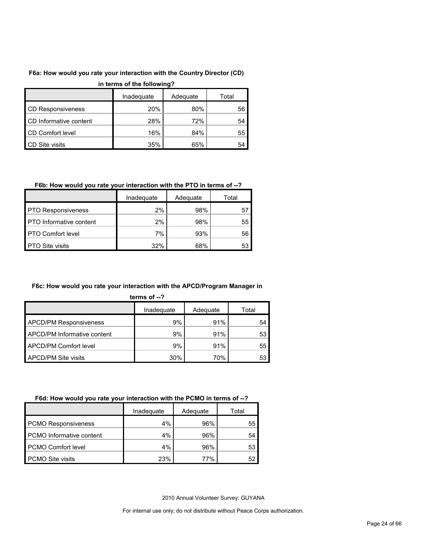## **F6a: How would you rate your interaction with the Country Director (CD)**

| in terms of the following? |            |          |       |  |  |  |  |
|----------------------------|------------|----------|-------|--|--|--|--|
|                            | Inadequate | Adequate | Total |  |  |  |  |
| <b>CD Responsiveness</b>   | <b>20%</b> | 80%      | 56    |  |  |  |  |
| CD Informative content     | 28%        | 72%      | 54    |  |  |  |  |

## **in terms of the following?**

CD Comfort level 16% 16% 84% 55 CD Site visits  $35\%$  65% 65% 54

## **F6b: How would you rate your interaction with the PTO in terms of --?**

|                                | Inadequate | Adequate | Total |
|--------------------------------|------------|----------|-------|
| <b>PTO Responsiveness</b>      | 2%         | 98%      | 57    |
| <b>PTO</b> Informative content | 2%         | 98%      | 55    |
| <b>PTO Comfort level</b>       | 7%         | 93%      | 56    |
| <b>PTO Site visits</b>         | 32%        | 68%      | 53    |

### **F6c: How would you rate your interaction with the APCD/Program Manager in**

| ,,, | ms |  |
|-----|----|--|
|     |    |  |
|     |    |  |

|                               | Inadequate | Adequate | Total |
|-------------------------------|------------|----------|-------|
| <b>APCD/PM Responsiveness</b> | 9%         | 91%      | 54    |
| APCD/PM Informative content   | 9%         | 91%      | 53    |
| APCD/PM Comfort level         | 9%         | 91%      | 55    |
| APCD/PM Site visits           | 30%        | 70%      | 53    |

#### **F6d: How would you rate your interaction with the PCMO in terms of --?**

|                            | Inadeguate | Adequate | Total |
|----------------------------|------------|----------|-------|
| <b>PCMO Responsiveness</b> | 4%         | 96%      | 55    |
| PCMO Informative content   | 4%         | 96%      | 54    |
| PCMO Comfort level         | 4%         | 96%      | 53    |
| <b>PCMO Site visits</b>    | 23%        | 77%      |       |

2010 Annual Volunteer Survey: GUYANA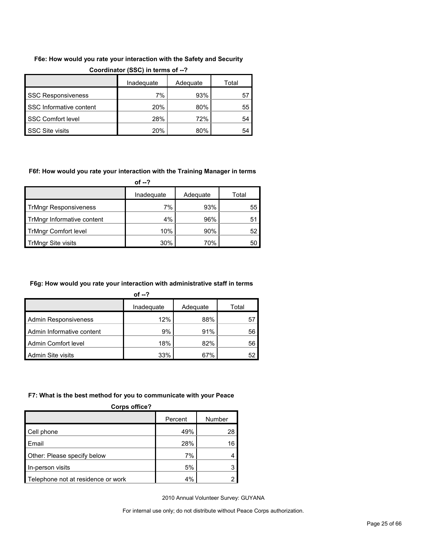## **F6e: How would you rate your interaction with the Safety and Security**

|                           | Inadequate | Adequate | Total |
|---------------------------|------------|----------|-------|
| <b>SSC Responsiveness</b> | 7%         | 93%      | 57    |
| SSC Informative content   | 20%        | 80%      | 55    |
| <b>SSC Comfort level</b>  | 28%        | 72%      | 54    |
| <b>SSC Site visits</b>    | 20%        | 80%      | 54    |

#### **Coordinator (SSC) in terms of --?**

#### **F6f: How would you rate your interaction with the Training Manager in terms**

**of --?**

|                              | Inadequate | Adequate | Total |
|------------------------------|------------|----------|-------|
| <b>TrMngr Responsiveness</b> | 7%         | 93%      | 55    |
| TrMngr Informative content   | 4%         | 96%      | 51    |
| <b>TrMngr Comfort level</b>  | 10%        | 90%      | 52    |
| TrMngr Site visits           | 30%        | 70%      | 50    |

#### **F6g: How would you rate your interaction with administrative staff in terms**

|                             | of $-2$    |          |       |
|-----------------------------|------------|----------|-------|
|                             | Inadequate | Adequate | Total |
| <b>Admin Responsiveness</b> | 12%        | 88%      | 57    |
| Admin Informative content   | 9%         | 91%      | 56    |
| Admin Comfort level         | 18%        | 82%      | 56    |
| Admin Site visits           | 33%        | 67%      | 52    |

#### **F7: What is the best method for you to communicate with your Peace**

| <b>Corps office?</b>               |         |        |  |  |  |  |
|------------------------------------|---------|--------|--|--|--|--|
|                                    | Percent | Number |  |  |  |  |
| Cell phone                         | 49%     | 28     |  |  |  |  |
| Email                              | 28%     | 16     |  |  |  |  |
| Other: Please specify below        | 7%      |        |  |  |  |  |
| In-person visits                   | 5%      |        |  |  |  |  |
| Telephone not at residence or work | 4%      |        |  |  |  |  |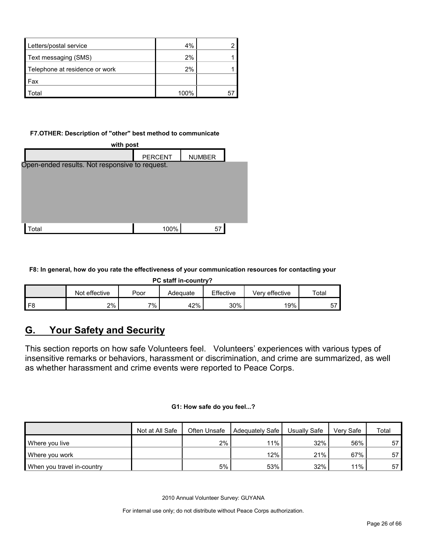| Letters/postal service         | 4%   |  |
|--------------------------------|------|--|
| Text messaging (SMS)           | 2%   |  |
| Telephone at residence or work | 2%   |  |
| <b>Fax</b>                     |      |  |
| otal                           | 100% |  |

#### **F7.OTHER: Description of "other" best method to communicate**

| with post                                      |                |               |  |  |  |  |  |
|------------------------------------------------|----------------|---------------|--|--|--|--|--|
|                                                | <b>PERCENT</b> | <b>NUMBER</b> |  |  |  |  |  |
| Open-ended results. Not responsive to request. |                |               |  |  |  |  |  |
|                                                |                |               |  |  |  |  |  |
|                                                |                |               |  |  |  |  |  |
|                                                |                |               |  |  |  |  |  |
|                                                |                |               |  |  |  |  |  |
| otal <sup>-</sup>                              | 100%           | 57            |  |  |  |  |  |
|                                                |                |               |  |  |  |  |  |

**F8: In general, how do you rate the effectiveness of your communication resources for contacting your** 

**PC staff in-country?**

|                | effective<br>Not | Poor | Adequate | Effective | Very effective | Total |
|----------------|------------------|------|----------|-----------|----------------|-------|
| F <sub>8</sub> | 2%               | 7%   | 42%      | 30%       | 19%            | 57    |

## <span id="page-25-0"></span>**G. Your Safety and Security**

This section reports on how safe Volunteers feel. Volunteers' experiences with various types of insensitive remarks or behaviors, harassment or discrimination, and crime are summarized, as well as whether harassment and crime events were reported to Peace Corps.

#### **G1: How safe do you feel...?**

|                            | Not at All Safe | Often Unsafe | Adequately Safe | Usually Safe | Verv Safe | Total |
|----------------------------|-----------------|--------------|-----------------|--------------|-----------|-------|
| Where you live             |                 | $2\%$        | 11%             | 32%          | 56%       | 57    |
| Where you work             |                 |              | 12%             | 21%          | 67%       | 57    |
| When you travel in-country |                 | 5%           | 53%             | 32%          | 11%       | 57    |

2010 Annual Volunteer Survey: GUYANA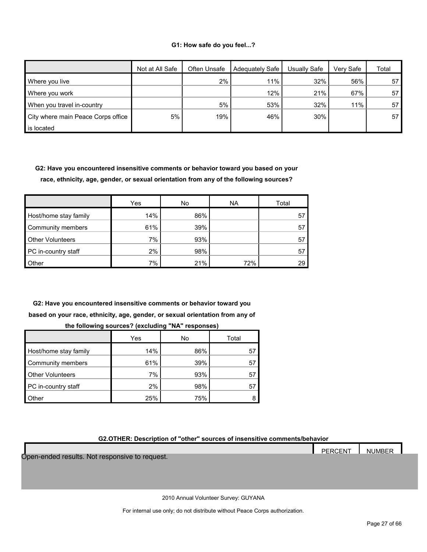#### **G1: How safe do you feel...?**

|                                    | Not at All Safe | Often Unsafe | Adequately Safe | Usually Safe | Very Safe | Total |
|------------------------------------|-----------------|--------------|-----------------|--------------|-----------|-------|
| Where you live                     |                 | 2%           | 11%             | 32%          | 56%       | 57    |
| Where you work                     |                 |              | 12%             | 21%          | 67%       | 57    |
| When you travel in-country         |                 | 5%           | 53%             | 32%          | 11%       | 57    |
| City where main Peace Corps office | 5%              | 19%          | 46%             | 30%          |           | 57    |
| is located                         |                 |              |                 |              |           |       |

**G2: Have you encountered insensitive comments or behavior toward you based on your race, ethnicity, age, gender, or sexual orientation from any of the following sources?**

|                         | Yes | No  | <b>NA</b> | Total |
|-------------------------|-----|-----|-----------|-------|
| Host/home stay family   | 14% | 86% |           | 57    |
| Community members       | 61% | 39% |           | 57    |
| <b>Other Volunteers</b> | 7%  | 93% |           | 57    |
| PC in-country staff     | 2%  | 98% |           | 57    |
| Other                   | 7%  | 21% | 72%       | 29    |

**G2: Have you encountered insensitive comments or behavior toward you based on your race, ethnicity, age, gender, or sexual orientation from any of** 

|                         | Yes | No  | Total |
|-------------------------|-----|-----|-------|
| Host/home stay family   | 14% | 86% | 57    |
| Community members       | 61% | 39% | -57   |
| <b>Other Volunteers</b> | 7%  | 93% | 57    |
| PC in-country staff     | 2%  | 98% | 57    |
| Other                   | 25% | 75% |       |

**the following sources? (excluding "NA" responses)**

**G2.OTHER: Description of "other" sources of insensitive comments/behavior**

2010 Annual Volunteer Survey: GUYANA PERCENT | NUMBER Open-ended results. Not responsive to request.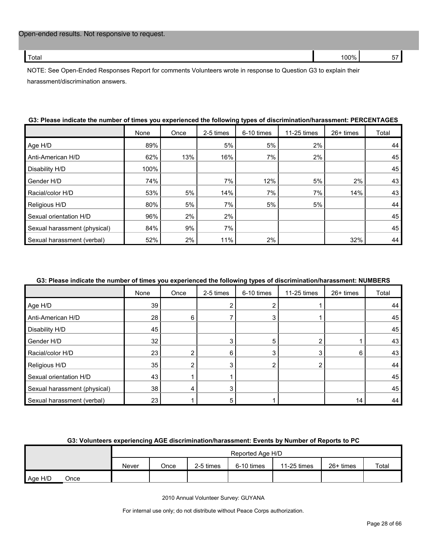| 100%<br>$\sim$<br>Tota |  |  |  |
|------------------------|--|--|--|
|------------------------|--|--|--|

NOTE: See Open-Ended Responses Report for comments Volunteers wrote in response to Question G3 to explain their harassment/discrimination answers.

|                              | None | Once | 2-5 times | 6-10 times | 11-25 times | 26+ times | Total |
|------------------------------|------|------|-----------|------------|-------------|-----------|-------|
| Age H/D                      | 89%  |      | 5%        | 5%         | 2%          |           | 44    |
| Anti-American H/D            | 62%  | 13%  | 16%       | 7%         | 2%          |           | 45    |
| Disability H/D               | 100% |      |           |            |             |           | 45    |
| Gender H/D                   | 74%  |      | 7%        | 12%        | 5%          | 2%        | 43    |
| Racial/color H/D             | 53%  | 5%   | 14%       | 7%         | 7%          | 14%       | 43    |
| Religious H/D                | 80%  | 5%   | 7%        | 5%         | 5%          |           | 44    |
| Sexual orientation H/D       | 96%  | 2%   | 2%        |            |             |           | 45    |
| Sexual harassment (physical) | 84%  | 9%   | 7%        |            |             |           | 45    |
| Sexual harassment (verbal)   | 52%  | 2%   | 11%       | 2%         |             | 32%       | 44    |

#### **G3: Please indicate the number of times you experienced the following types of discrimination/harassment: PERCENTAGES**

#### **G3: Please indicate the number of times you experienced the following types of discrimination/harassment: NUMBERS**

|                              | None            | Once | 2-5 times | 6-10 times | $11-25$ times | $26+$ times | Total |
|------------------------------|-----------------|------|-----------|------------|---------------|-------------|-------|
| Age H/D                      | 39              |      |           |            |               |             | 44    |
| Anti-American H/D            | 28              | 6    |           |            |               |             | 45    |
| Disability H/D               | 45              |      |           |            |               |             | 45    |
| Gender H/D                   | 32 <sup>2</sup> |      |           | 5          | ົ             |             | 43    |
| Racial/color H/D             | 23              |      | 6         | 3          | 3             | 6           | 43    |
| Religious H/D                | 35              |      |           |            | ◠             |             | 44    |
| Sexual orientation H/D       | 43              |      |           |            |               |             | 45    |
| Sexual harassment (physical) | 38              |      |           |            |               |             | 45    |
| Sexual harassment (verbal)   | 23              |      |           |            |               | 14          | 44    |

#### **G3: Volunteers experiencing AGE discrimination/harassment: Events by Number of Reports to PC**

|         |      |       | Reported Age H/D |           |            |               |           |       |  |  |
|---------|------|-------|------------------|-----------|------------|---------------|-----------|-------|--|--|
|         |      | Never | Once             | 2-5 times | 6-10 times | $11-25$ times | 26+ times | Total |  |  |
| Age H/D | Once |       |                  |           |            |               |           |       |  |  |

2010 Annual Volunteer Survey: GUYANA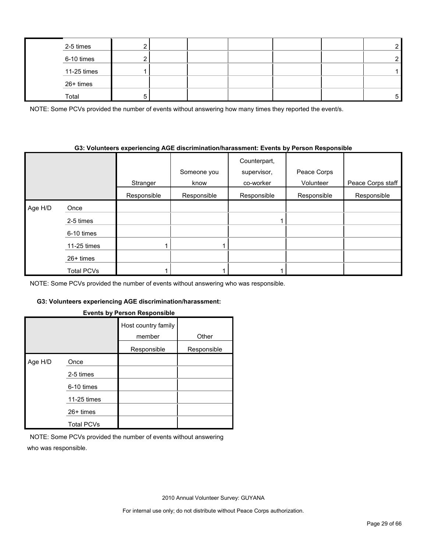| 2-5 times   |  |  |  | ◠ |
|-------------|--|--|--|---|
| 6-10 times  |  |  |  | ⌒ |
| 11-25 times |  |  |  |   |
| 26+ times   |  |  |  |   |
| Total       |  |  |  |   |

NOTE: Some PCVs provided the number of events without answering how many times they reported the event/s.

#### **G3: Volunteers experiencing AGE discrimination/harassment: Events by Person Responsible**

|         |                   |             | Someone you | Counterpart,<br>supervisor, | Peace Corps |                   |
|---------|-------------------|-------------|-------------|-----------------------------|-------------|-------------------|
|         |                   | Stranger    | know        | co-worker                   | Volunteer   | Peace Corps staff |
|         |                   | Responsible | Responsible | Responsible                 | Responsible | Responsible       |
| Age H/D | Once              |             |             |                             |             |                   |
|         | 2-5 times         |             |             |                             |             |                   |
|         | 6-10 times        |             |             |                             |             |                   |
|         | 11-25 times       |             |             |                             |             |                   |
|         | $26+$ times       |             |             |                             |             |                   |
|         | <b>Total PCVs</b> |             |             |                             |             |                   |

NOTE: Some PCVs provided the number of events without answering who was responsible.

#### **G3: Volunteers experiencing AGE discrimination/harassment:**

|         |                   | $-$ , $\frac{1}{2}$ , $\frac{1}{2}$ , $\frac{1}{2}$ , $\frac{1}{2}$ , $\frac{1}{2}$ , $\frac{1}{2}$ , $\frac{1}{2}$ , $\frac{1}{2}$ , $\frac{1}{2}$ , $\frac{1}{2}$ |             |
|---------|-------------------|---------------------------------------------------------------------------------------------------------------------------------------------------------------------|-------------|
|         |                   | Host country family<br>member                                                                                                                                       | Other       |
|         |                   | Responsible                                                                                                                                                         | Responsible |
| Age H/D | Once              |                                                                                                                                                                     |             |
|         | 2-5 times         |                                                                                                                                                                     |             |
|         | 6-10 times        |                                                                                                                                                                     |             |
|         | 11-25 times       |                                                                                                                                                                     |             |
|         | $26+$ times       |                                                                                                                                                                     |             |
|         | <b>Total PCVs</b> |                                                                                                                                                                     |             |

#### **Events by Person Responsible**

NOTE: Some PCVs provided the number of events without answering who was responsible.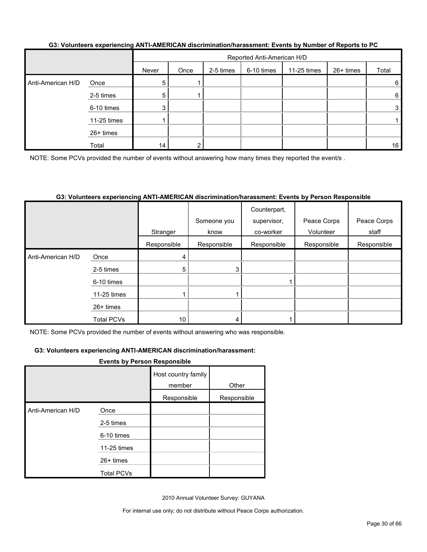|                   |             |       | Reported Anti-American H/D |           |            |             |           |       |  |
|-------------------|-------------|-------|----------------------------|-----------|------------|-------------|-----------|-------|--|
|                   |             | Never | Once                       | 2-5 times | 6-10 times | 11-25 times | 26+ times | Total |  |
| Anti-American H/D | Once        | 5     |                            |           |            |             |           | 6     |  |
|                   | 2-5 times   | 5     |                            |           |            |             |           | 6     |  |
|                   | 6-10 times  | 3     |                            |           |            |             |           | 3     |  |
|                   | 11-25 times |       |                            |           |            |             |           |       |  |
|                   | 26+ times   |       |                            |           |            |             |           |       |  |
|                   | Total       | 14.   | ◠                          |           |            |             |           | 16    |  |

#### **G3: Volunteers experiencing ANTI-AMERICAN discrimination/harassment: Events by Number of Reports to PC**

NOTE: Some PCVs provided the number of events without answering how many times they reported the event/s.

#### **G3: Volunteers experiencing ANTI-AMERICAN discrimination/harassment: Events by Person Responsible**

|                   |                   | Stranger        | Someone you<br>know | Counterpart,<br>supervisor,<br>co-worker | Peace Corps<br>Volunteer | Peace Corps<br>staff |
|-------------------|-------------------|-----------------|---------------------|------------------------------------------|--------------------------|----------------------|
|                   |                   | Responsible     | Responsible         | Responsible                              | Responsible              | Responsible          |
| Anti-American H/D | Once              | 4               |                     |                                          |                          |                      |
|                   | 2-5 times         | 5               | 3                   |                                          |                          |                      |
|                   | 6-10 times        |                 |                     |                                          |                          |                      |
|                   | 11-25 times       |                 |                     |                                          |                          |                      |
|                   | 26+ times         |                 |                     |                                          |                          |                      |
|                   | <b>Total PCVs</b> | 10 <sub>1</sub> | 4                   |                                          |                          |                      |

NOTE: Some PCVs provided the number of events without answering who was responsible.

#### **G3: Volunteers experiencing ANTI-AMERICAN discrimination/harassment:**

#### **Events by Person Responsible**

|                   |                   | Host country family<br>member | Other       |
|-------------------|-------------------|-------------------------------|-------------|
|                   |                   | Responsible                   | Responsible |
| Anti-American H/D | Once              |                               |             |
|                   | 2-5 times         |                               |             |
|                   | 6-10 times        |                               |             |
|                   | 11-25 times       |                               |             |
|                   | $26+$ times       |                               |             |
|                   | <b>Total PCVs</b> |                               |             |

2010 Annual Volunteer Survey: GUYANA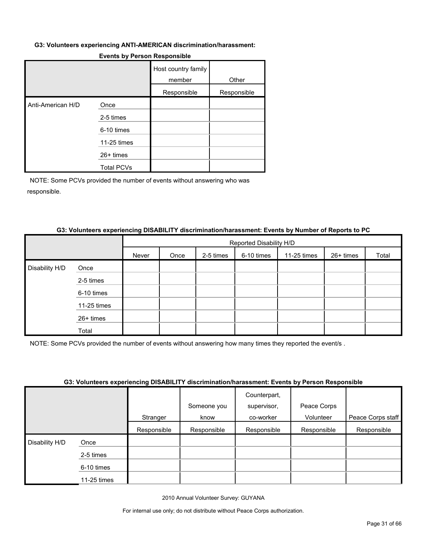#### **G3: Volunteers experiencing ANTI-AMERICAN discrimination/harassment:**

|                   |                   | Host country family<br>member | Other       |
|-------------------|-------------------|-------------------------------|-------------|
|                   |                   | Responsible                   | Responsible |
| Anti-American H/D | Once              |                               |             |
|                   | 2-5 times         |                               |             |
|                   | 6-10 times        |                               |             |
|                   | 11-25 times       |                               |             |
|                   | $26+$ times       |                               |             |
|                   | <b>Total PCVs</b> |                               |             |

#### **Events by Person Responsible**

NOTE: Some PCVs provided the number of events without answering who was responsible.

#### **G3: Volunteers experiencing DISABILITY discrimination/harassment: Events by Number of Reports to PC**

|                |             |       |      |           | Reported Disability H/D |             |           |       |
|----------------|-------------|-------|------|-----------|-------------------------|-------------|-----------|-------|
|                |             | Never | Once | 2-5 times | 6-10 times              | 11-25 times | 26+ times | Total |
| Disability H/D | Once        |       |      |           |                         |             |           |       |
|                | 2-5 times   |       |      |           |                         |             |           |       |
|                | 6-10 times  |       |      |           |                         |             |           |       |
|                | 11-25 times |       |      |           |                         |             |           |       |
|                | 26+ times   |       |      |           |                         |             |           |       |
|                | Total       |       |      |           |                         |             |           |       |

NOTE: Some PCVs provided the number of events without answering how many times they reported the event/s .

#### **G3: Volunteers experiencing DISABILITY discrimination/harassment: Events by Person Responsible**

|                     |             |             |             | Counterpart, |             |                   |
|---------------------|-------------|-------------|-------------|--------------|-------------|-------------------|
|                     |             |             | Someone you | supervisor,  | Peace Corps |                   |
|                     |             | Stranger    | know        | co-worker    | Volunteer   | Peace Corps staff |
|                     |             | Responsible | Responsible | Responsible  | Responsible | Responsible       |
| Disability H/D<br>Ι | Once        |             |             |              |             |                   |
|                     | 2-5 times   |             |             |              |             |                   |
|                     | 6-10 times  |             |             |              |             |                   |
|                     | 11-25 times |             |             |              |             |                   |

2010 Annual Volunteer Survey: GUYANA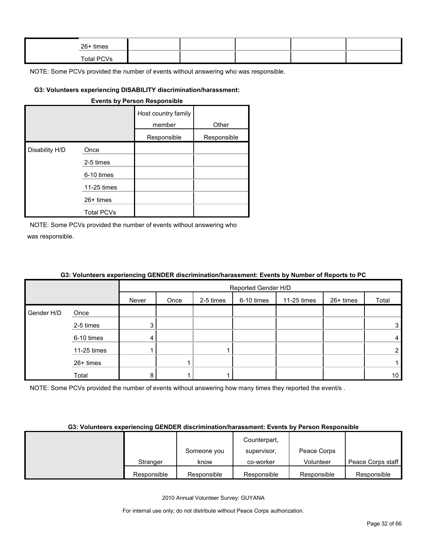| $26+$ times |  |  |  |
|-------------|--|--|--|
| Total PCVs  |  |  |  |

#### **G3: Volunteers experiencing DISABILITY discrimination/harassment:**

|                |                   | <b>Events by Person Responsible</b> |             |
|----------------|-------------------|-------------------------------------|-------------|
|                |                   | Host country family<br>member       | Other       |
|                |                   | Responsible                         | Responsible |
| Disability H/D | Once              |                                     |             |
|                | 2-5 times         |                                     |             |
|                | 6-10 times        |                                     |             |
|                | 11-25 times       |                                     |             |
|                | $26+$ times       |                                     |             |
|                | <b>Total PCVs</b> |                                     |             |

NOTE: Some PCVs provided the number of events without answering who was responsible.

|            |             | <u> comonu = 1 cmc wy 11 cmc ci en 11 cp cmc 10 10 10 c</u> |                     |           |            |             |           |                |
|------------|-------------|-------------------------------------------------------------|---------------------|-----------|------------|-------------|-----------|----------------|
|            |             |                                                             | Reported Gender H/D |           |            |             |           |                |
|            |             | Never                                                       | Once                | 2-5 times | 6-10 times | 11-25 times | 26+ times | Total          |
| Gender H/D | Once        |                                                             |                     |           |            |             |           |                |
|            | 2-5 times   | 3                                                           |                     |           |            |             |           | 3              |
|            | 6-10 times  | 4                                                           |                     |           |            |             |           | $\overline{4}$ |
|            | 11-25 times |                                                             |                     |           |            |             |           | $\overline{2}$ |
|            | 26+ times   |                                                             |                     |           |            |             |           |                |
|            | Total       | 8                                                           |                     |           |            |             |           | 10             |

## **G3: Volunteers experiencing GENDER discrimination/harassment: Events by Number of Reports to PC**

NOTE: Some PCVs provided the number of events without answering how many times they reported the event/s.

#### **G3: Volunteers experiencing GENDER discrimination/harassment: Events by Person Responsible**

|             |             | Counterpart, |             |                   |
|-------------|-------------|--------------|-------------|-------------------|
|             | Someone you | supervisor,  | Peace Corps |                   |
| Stranger    | know        | co-worker    | Volunteer   | Peace Corps staff |
| Responsible | Responsible | Responsible  | Responsible | Responsible       |

2010 Annual Volunteer Survey: GUYANA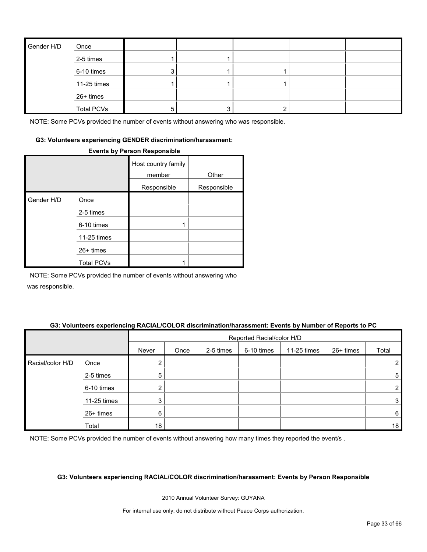| Gender H/D | Once              |  |  |  |
|------------|-------------------|--|--|--|
|            | 2-5 times         |  |  |  |
|            | 6-10 times        |  |  |  |
|            | 11-25 times       |  |  |  |
|            | 26+ times         |  |  |  |
|            | <b>Total PCVs</b> |  |  |  |

#### **G3: Volunteers experiencing GENDER discrimination/harassment:**

#### **Events by Person Responsible**

|            |                   | Host country family<br>member | Other       |
|------------|-------------------|-------------------------------|-------------|
|            |                   |                               |             |
|            |                   | Responsible                   | Responsible |
| Gender H/D | Once              |                               |             |
|            | 2-5 times         |                               |             |
|            | 6-10 times        |                               |             |
|            | 11-25 times       |                               |             |
|            | 26+ times         |                               |             |
|            | <b>Total PCVs</b> |                               |             |

NOTE: Some PCVs provided the number of events without answering who was responsible.

#### **G3: Volunteers experiencing RACIAL/COLOR discrimination/harassment: Events by Number of Reports to PC**

|                  |             |       | Reported Racial/color H/D |           |            |             |           |       |
|------------------|-------------|-------|---------------------------|-----------|------------|-------------|-----------|-------|
|                  |             | Never | Once                      | 2-5 times | 6-10 times | 11-25 times | 26+ times | Total |
| Racial/color H/D | Once        | ◠     |                           |           |            |             |           | 2     |
|                  | 2-5 times   | 5     |                           |           |            |             |           | 5     |
|                  | 6-10 times  | ◠     |                           |           |            |             |           | 2     |
|                  | 11-25 times | 3     |                           |           |            |             |           | 3     |
|                  | 26+ times   | 6     |                           |           |            |             |           | 6     |
|                  | Total       | 18    |                           |           |            |             |           | 18    |

NOTE: Some PCVs provided the number of events without answering how many times they reported the event/s.

#### **G3: Volunteers experiencing RACIAL/COLOR discrimination/harassment: Events by Person Responsible**

2010 Annual Volunteer Survey: GUYANA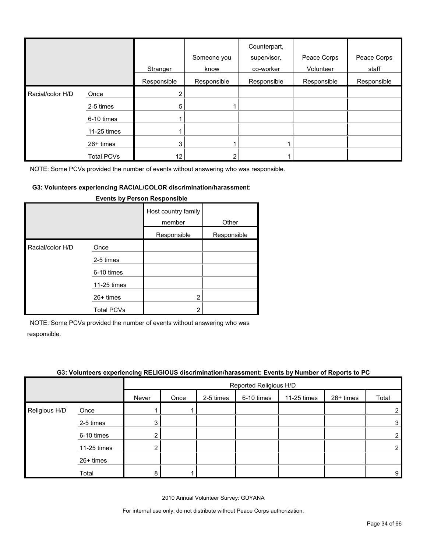|                  |                   | Stranger    | Someone you<br>know | Counterpart,<br>supervisor,<br>co-worker | Peace Corps<br>Volunteer | Peace Corps<br>staff |
|------------------|-------------------|-------------|---------------------|------------------------------------------|--------------------------|----------------------|
|                  |                   | Responsible | Responsible         | Responsible                              | Responsible              | Responsible          |
| Racial/color H/D | Once              |             |                     |                                          |                          |                      |
|                  | 2-5 times         | 5           |                     |                                          |                          |                      |
|                  | 6-10 times        |             |                     |                                          |                          |                      |
|                  | 11-25 times       |             |                     |                                          |                          |                      |
|                  | $26+$ times       | 3           |                     |                                          |                          |                      |
|                  | <b>Total PCVs</b> | 12          |                     |                                          |                          |                      |

#### **G3: Volunteers experiencing RACIAL/COLOR discrimination/harassment:**

|                  |                   | Host country family<br>member | Other       |
|------------------|-------------------|-------------------------------|-------------|
|                  |                   | Responsible                   | Responsible |
| Racial/color H/D | Once              |                               |             |
|                  | 2-5 times         |                               |             |
|                  | 6-10 times        |                               |             |
|                  | 11-25 times       |                               |             |
|                  | 26+ times         | 2                             |             |
|                  | <b>Total PCVs</b> | 2                             |             |

#### **Events by Person Responsible**

NOTE: Some PCVs provided the number of events without answering who was responsible.

26+ times

|               |           | Reported Religious H/D |      |           |            |             |           |       |  |
|---------------|-----------|------------------------|------|-----------|------------|-------------|-----------|-------|--|
|               |           | Never                  | Once | 2-5 times | 6-10 times | 11-25 times | 26+ times | Total |  |
| Religious H/D | Once      |                        |      |           |            |             |           | c     |  |
|               | 2-5 times |                        |      |           |            |             |           | ◠     |  |

6-10 times 2 2 11-25 times 2 2

Total | 8 | 1 | | | | | | | 9

#### **G3: Volunteers experiencing RELIGIOUS discrimination/harassment: Events by Number of Reports to PC**

2010 Annual Volunteer Survey: GUYANA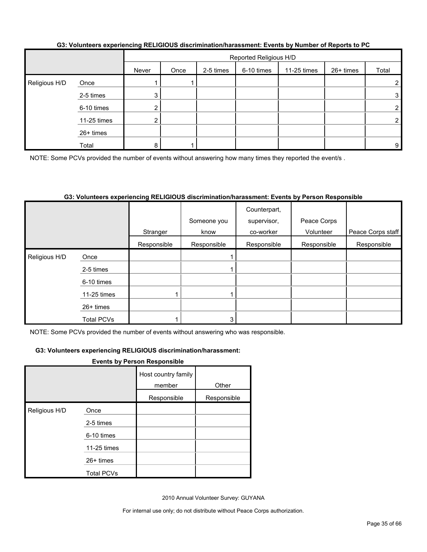|               |             |               | Reported Religious H/D |           |            |             |           |                |  |
|---------------|-------------|---------------|------------------------|-----------|------------|-------------|-----------|----------------|--|
|               |             | Never         | Once                   | 2-5 times | 6-10 times | 11-25 times | 26+ times | Total          |  |
| Religious H/D | Once        |               |                        |           |            |             |           | $\overline{2}$ |  |
|               | 2-5 times   | 3             |                        |           |            |             |           | 3 <sub>1</sub> |  |
|               | 6-10 times  |               |                        |           |            |             |           | $\overline{2}$ |  |
|               | 11-25 times | n<br><u>.</u> |                        |           |            |             |           | $\overline{2}$ |  |
|               | 26+ times   |               |                        |           |            |             |           |                |  |
|               | Total       | 8             |                        |           |            |             |           | 9 <sub>1</sub> |  |

#### **G3: Volunteers experiencing RELIGIOUS discrimination/harassment: Events by Number of Reports to PC**

NOTE: Some PCVs provided the number of events without answering how many times they reported the event/s.

#### **G3: Volunteers experiencing RELIGIOUS discrimination/harassment: Events by Person Responsible**

|               |             |             | Someone you | Counterpart,<br>supervisor, | Peace Corps |                   |
|---------------|-------------|-------------|-------------|-----------------------------|-------------|-------------------|
|               |             | Stranger    | know        | co-worker                   | Volunteer   | Peace Corps staff |
|               |             | Responsible | Responsible | Responsible                 | Responsible | Responsible       |
| Religious H/D | Once        |             |             |                             |             |                   |
|               | 2-5 times   |             |             |                             |             |                   |
|               | 6-10 times  |             |             |                             |             |                   |
|               | 11-25 times |             |             |                             |             |                   |
|               | 26+ times   |             |             |                             |             |                   |
|               | Total PCVs  |             | 3           |                             |             |                   |

NOTE: Some PCVs provided the number of events without answering who was responsible.

#### **G3: Volunteers experiencing RELIGIOUS discrimination/harassment:**

#### **Events by Person Responsible**

|               |                   | Host country family<br>member | Other       |
|---------------|-------------------|-------------------------------|-------------|
|               |                   | Responsible                   | Responsible |
| Religious H/D | Once              |                               |             |
|               | 2-5 times         |                               |             |
|               | 6-10 times        |                               |             |
|               | 11-25 times       |                               |             |
|               | $26+$ times       |                               |             |
|               | <b>Total PCVs</b> |                               |             |

2010 Annual Volunteer Survey: GUYANA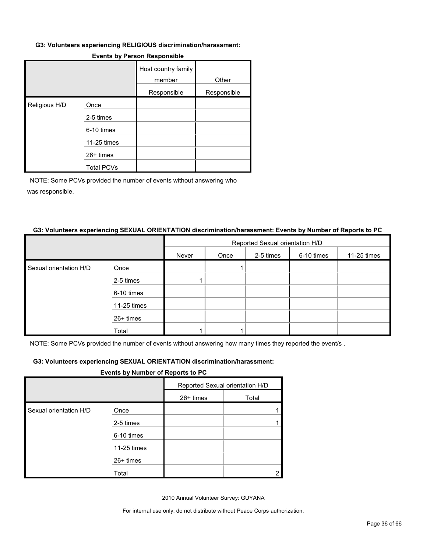#### **G3: Volunteers experiencing RELIGIOUS discrimination/harassment:**

|               |                   | Host country family<br>member | Other       |
|---------------|-------------------|-------------------------------|-------------|
|               |                   | Responsible                   | Responsible |
| Religious H/D | Once              |                               |             |
|               | 2-5 times         |                               |             |
|               | 6-10 times        |                               |             |
|               | 11-25 times       |                               |             |
|               | 26+ times         |                               |             |
|               | <b>Total PCVs</b> |                               |             |

#### **Events by Person Responsible**

NOTE: Some PCVs provided the number of events without answering who was responsible.

#### **G3: Volunteers experiencing SEXUAL ORIENTATION discrimination/harassment: Events by Number of Reports to PC**

|                        |             | Reported Sexual orientation H/D |      |           |            |             |  |
|------------------------|-------------|---------------------------------|------|-----------|------------|-------------|--|
|                        |             | Never                           | Once | 2-5 times | 6-10 times | 11-25 times |  |
| Sexual orientation H/D | Once        |                                 |      |           |            |             |  |
|                        | 2-5 times   |                                 |      |           |            |             |  |
|                        | 6-10 times  |                                 |      |           |            |             |  |
|                        | 11-25 times |                                 |      |           |            |             |  |
|                        | 26+ times   |                                 |      |           |            |             |  |
|                        | Total       |                                 |      |           |            |             |  |

NOTE: Some PCVs provided the number of events without answering how many times they reported the event/s .

#### **G3: Volunteers experiencing SEXUAL ORIENTATION discrimination/harassment:**

#### **Events by Number of Reports to PC**

|                        |             |           | Reported Sexual orientation H/D |  |  |
|------------------------|-------------|-----------|---------------------------------|--|--|
|                        |             | 26+ times | Total                           |  |  |
| Sexual orientation H/D | Once        |           |                                 |  |  |
|                        | 2-5 times   |           |                                 |  |  |
|                        | 6-10 times  |           |                                 |  |  |
|                        | 11-25 times |           |                                 |  |  |
|                        | 26+ times   |           |                                 |  |  |
|                        | Total       |           |                                 |  |  |

2010 Annual Volunteer Survey: GUYANA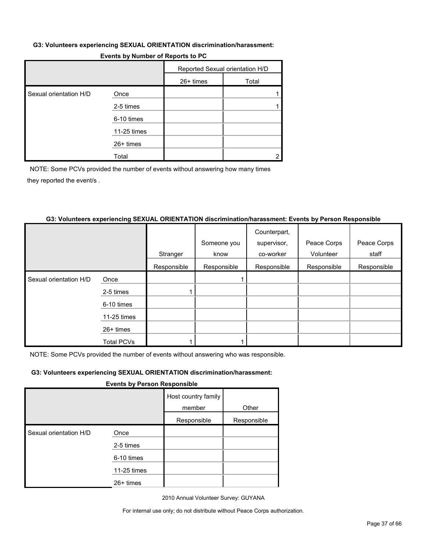#### **G3: Volunteers experiencing SEXUAL ORIENTATION discrimination/harassment:**

| <b>Events by Namber of Reports to FO</b> |             |                                 |       |  |  |  |
|------------------------------------------|-------------|---------------------------------|-------|--|--|--|
|                                          |             | Reported Sexual orientation H/D |       |  |  |  |
|                                          |             | 26+ times                       | Total |  |  |  |
| Sexual orientation H/D                   | Once        |                                 |       |  |  |  |
|                                          | 2-5 times   |                                 |       |  |  |  |
|                                          | 6-10 times  |                                 |       |  |  |  |
|                                          | 11-25 times |                                 |       |  |  |  |
|                                          | 26+ times   |                                 |       |  |  |  |
|                                          | Total       |                                 | 2     |  |  |  |

## **Events by Number of Reports to PC**

NOTE: Some PCVs provided the number of events without answering how many times they reported the event/s .

#### **G3: Volunteers experiencing SEXUAL ORIENTATION discrimination/harassment: Events by Person Responsible**

|                        |                   |             |             | Counterpart, |             |             |
|------------------------|-------------------|-------------|-------------|--------------|-------------|-------------|
|                        |                   |             | Someone you | supervisor,  | Peace Corps | Peace Corps |
|                        |                   | Stranger    | know        | co-worker    | Volunteer   | staff       |
|                        |                   | Responsible | Responsible | Responsible  | Responsible | Responsible |
| Sexual orientation H/D | Once              |             |             |              |             |             |
|                        | 2-5 times         |             |             |              |             |             |
|                        | 6-10 times        |             |             |              |             |             |
|                        | 11-25 times       |             |             |              |             |             |
|                        | $26+$ times       |             |             |              |             |             |
|                        | <b>Total PCVs</b> |             |             |              |             |             |

NOTE: Some PCVs provided the number of events without answering who was responsible.

#### **G3: Volunteers experiencing SEXUAL ORIENTATION discrimination/harassment:**

#### **Events by Person Responsible**

|             | Host country family<br>member | Other       |
|-------------|-------------------------------|-------------|
|             | Responsible                   | Responsible |
| Once        |                               |             |
| 2-5 times   |                               |             |
| 6-10 times  |                               |             |
| 11-25 times |                               |             |
| 26+ times   |                               |             |
|             |                               |             |

2010 Annual Volunteer Survey: GUYANA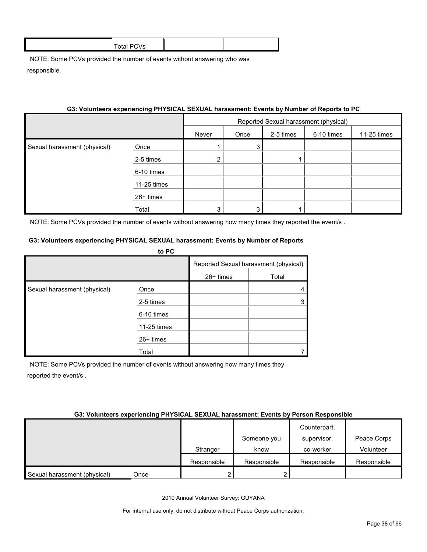6-10 times 11-25 times 26+ times

NOTE: Some PCVs provided the number of events without answering who was responsible.

|                              |           |       |      |           | Reported Sexual harassment (physical) |             |
|------------------------------|-----------|-------|------|-----------|---------------------------------------|-------------|
|                              |           | Never | Once | 2-5 times | 6-10 times                            | 11-25 times |
| Sexual harassment (physical) | Once      |       |      |           |                                       |             |
|                              | 2-5 times |       |      |           |                                       |             |

#### **G3: Volunteers experiencing PHYSICAL SEXUAL harassment: Events by Number of Reports to PC**

Total 1 3 3 3 3

NOTE: Some PCVs provided the number of events without answering how many times they reported the event/s.

#### **G3: Volunteers experiencing PHYSICAL SEXUAL harassment: Events by Number of Reports**

|                              | to PC       |                                       |       |
|------------------------------|-------------|---------------------------------------|-------|
|                              |             | Reported Sexual harassment (physical) |       |
|                              |             | 26+ times                             | Total |
| Sexual harassment (physical) | Once        |                                       |       |
|                              | 2-5 times   |                                       |       |
|                              | 6-10 times  |                                       |       |
|                              | 11-25 times |                                       |       |
|                              | $26+$ times |                                       |       |
|                              | Total       |                                       |       |

NOTE: Some PCVs provided the number of events without answering how many times they reported the event/s .

#### **G3: Volunteers experiencing PHYSICAL SEXUAL harassment: Events by Person Responsible**

|                              |      |             | Someone you | Counterpart,<br>supervisor, | Peace Corps |
|------------------------------|------|-------------|-------------|-----------------------------|-------------|
|                              |      | Stranger    | know        | co-worker                   | Volunteer   |
|                              |      | Responsible | Responsible | Responsible                 | Responsible |
| Sexual harassment (physical) | Once |             |             |                             |             |

2010 Annual Volunteer Survey: GUYANA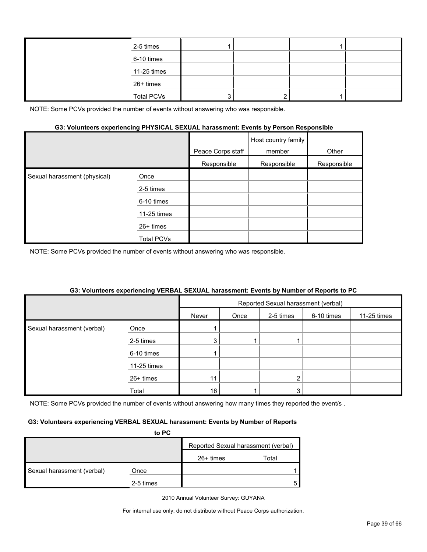| 2-5 times         |  |  |
|-------------------|--|--|
| 6-10 times        |  |  |
| 11-25 times       |  |  |
| 26+ times         |  |  |
| <b>Total PCVs</b> |  |  |

#### **G3: Volunteers experiencing PHYSICAL SEXUAL harassment: Events by Person Responsible**

|                              |                   | Peace Corps staff | Host country family<br>member | Other       |
|------------------------------|-------------------|-------------------|-------------------------------|-------------|
|                              |                   | Responsible       | Responsible                   | Responsible |
| Sexual harassment (physical) | Once              |                   |                               |             |
|                              | 2-5 times         |                   |                               |             |
|                              | 6-10 times        |                   |                               |             |
|                              | 11-25 times       |                   |                               |             |
|                              | $26+$ times       |                   |                               |             |
|                              | <b>Total PCVs</b> |                   |                               |             |

NOTE: Some PCVs provided the number of events without answering who was responsible.

#### **G3: Volunteers experiencing VERBAL SEXUAL harassment: Events by Number of Reports to PC**

|                            |             | Reported Sexual harassment (verbal) |      |           |            |             |
|----------------------------|-------------|-------------------------------------|------|-----------|------------|-------------|
|                            |             | Never                               | Once | 2-5 times | 6-10 times | 11-25 times |
| Sexual harassment (verbal) | Once        |                                     |      |           |            |             |
|                            | 2-5 times   | 3                                   |      |           |            |             |
|                            | 6-10 times  |                                     |      |           |            |             |
|                            | 11-25 times |                                     |      |           |            |             |
|                            | 26+ times   | 11                                  |      | າ<br>∠    |            |             |
|                            | Total       | 16                                  |      | 3         |            |             |

NOTE: Some PCVs provided the number of events without answering how many times they reported the event/s .

#### **G3: Volunteers experiencing VERBAL SEXUAL harassment: Events by Number of Reports**

|                            | to PC     |                                     |       |  |  |
|----------------------------|-----------|-------------------------------------|-------|--|--|
|                            |           | Reported Sexual harassment (verbal) |       |  |  |
|                            |           | $26+$ times                         | Total |  |  |
| Sexual harassment (verbal) | Once      |                                     |       |  |  |
|                            | 2-5 times |                                     |       |  |  |

2010 Annual Volunteer Survey: GUYANA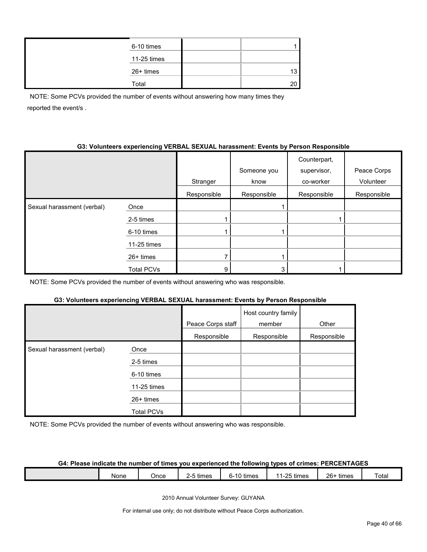| 6-10 times  |     |
|-------------|-----|
| 11-25 times |     |
| 26+ times   | 13. |
| Total       | 20  |

NOTE: Some PCVs provided the number of events without answering how many times they reported the event/s .

#### **G3: Volunteers experiencing VERBAL SEXUAL harassment: Events by Person Responsible**

|                            |                   | Stranger    | Someone you<br>know | Counterpart,<br>supervisor,<br>co-worker | Peace Corps<br>Volunteer |
|----------------------------|-------------------|-------------|---------------------|------------------------------------------|--------------------------|
|                            |                   | Responsible | Responsible         | Responsible                              | Responsible              |
| Sexual harassment (verbal) | Once              |             |                     |                                          |                          |
|                            | 2-5 times         |             |                     |                                          |                          |
|                            | 6-10 times        |             |                     |                                          |                          |
|                            | 11-25 times       |             |                     |                                          |                          |
|                            | 26+ times         |             |                     |                                          |                          |
|                            | <b>Total PCVs</b> | 9           |                     |                                          |                          |

NOTE: Some PCVs provided the number of events without answering who was responsible.

#### **G3: Volunteers experiencing VERBAL SEXUAL harassment: Events by Person Responsible**

|                            |                   | Peace Corps staff | Host country family<br>member | Other       |
|----------------------------|-------------------|-------------------|-------------------------------|-------------|
|                            |                   | Responsible       | Responsible                   | Responsible |
| Sexual harassment (verbal) | Once              |                   |                               |             |
|                            | 2-5 times         |                   |                               |             |
|                            | 6-10 times        |                   |                               |             |
|                            | 11-25 times       |                   |                               |             |
|                            | $26+$ times       |                   |                               |             |
|                            | <b>Total PCVs</b> |                   |                               |             |

NOTE: Some PCVs provided the number of events without answering who was responsible.

## **G4: Please indicate the number of times you experienced the following types of crimes: PERCENTAGES**

| <b>None</b> | Once | times<br>. . | $\sim$<br>times<br>n- | $25 + h$<br>times<br>$\sim$ | $26 -$<br>tımes | $\overline{\phantom{a}}$<br>ัotal |
|-------------|------|--------------|-----------------------|-----------------------------|-----------------|-----------------------------------|
|             |      |              |                       |                             |                 |                                   |

2010 Annual Volunteer Survey: GUYANA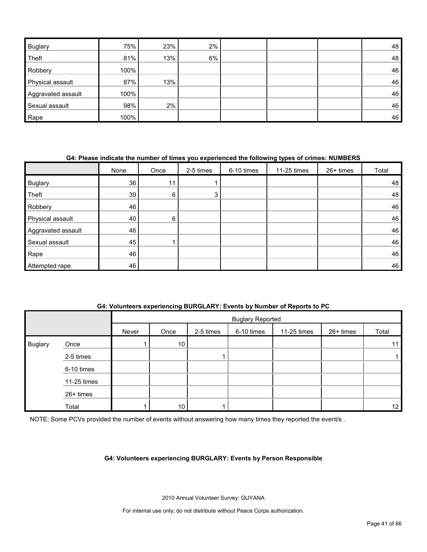| <b>Buglary</b>     | 75%  | 23% | $2\%$ |  | 48 |
|--------------------|------|-----|-------|--|----|
| Theft              | 81%  | 13% | 6%    |  | 48 |
| Robbery            | 100% |     |       |  | 46 |
| Physical assault   | 87%  | 13% |       |  | 46 |
| Aggravated assault | 100% |     |       |  | 46 |
| Sexual assault     | 98%  | 2%  |       |  | 46 |
| Rape               | 100% |     |       |  | 46 |

## **G4: Please indicate the number of times you experienced the following types of crimes: NUMBERS**

|                    | None | Once | 2-5 times | 6-10 times | 11-25 times | 26+ times | Total |
|--------------------|------|------|-----------|------------|-------------|-----------|-------|
| <b>Buglary</b>     | 36   | 11   |           |            |             |           | 48    |
| Theft              | 39   | 6    | 3         |            |             |           | 48    |
| Robbery            | 46   |      |           |            |             |           | 46    |
| Physical assault   | 40   | 6    |           |            |             |           | 46    |
| Aggravated assault | 46   |      |           |            |             |           | 46    |
| Sexual assault     | 45   |      |           |            |             |           | 46    |
| Rape               | 46   |      |           |            |             |           | 46    |
| Attempted rape     | 46   |      |           |            |             |           | 46    |

#### **G4: Volunteers experiencing BURGLARY: Events by Number of Reports to PC**

|                |             |       | <b>Buglary Reported</b> |           |            |               |           |                 |
|----------------|-------------|-------|-------------------------|-----------|------------|---------------|-----------|-----------------|
|                |             | Never | Once                    | 2-5 times | 6-10 times | $11-25$ times | 26+ times | Total           |
| <b>Buglary</b> | Once        |       | 10                      |           |            |               |           | 11              |
|                | 2-5 times   |       |                         |           |            |               |           |                 |
|                | 6-10 times  |       |                         |           |            |               |           |                 |
|                | 11-25 times |       |                         |           |            |               |           |                 |
|                | 26+ times   |       |                         |           |            |               |           |                 |
|                | Total       |       | 10                      |           |            |               |           | 12 <sub>1</sub> |

NOTE: Some PCVs provided the number of events without answering how many times they reported the event/s .

#### **G4: Volunteers experiencing BURGLARY: Events by Person Responsible**

2010 Annual Volunteer Survey: GUYANA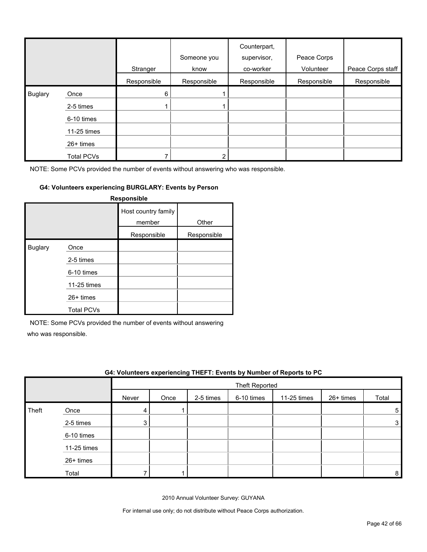|                |                   | Stranger    | Someone you<br>know | Counterpart,<br>supervisor,<br>co-worker | Peace Corps<br>Volunteer | Peace Corps staff |
|----------------|-------------------|-------------|---------------------|------------------------------------------|--------------------------|-------------------|
|                |                   | Responsible | Responsible         | Responsible                              | Responsible              | Responsible       |
| <b>Buglary</b> | Once              | 6           |                     |                                          |                          |                   |
|                | 2-5 times         |             |                     |                                          |                          |                   |
|                | 6-10 times        |             |                     |                                          |                          |                   |
|                | 11-25 times       |             |                     |                                          |                          |                   |
|                | 26+ times         |             |                     |                                          |                          |                   |
|                | <b>Total PCVs</b> |             | ⌒                   |                                          |                          |                   |

#### **G4: Volunteers experiencing BURGLARY: Events by Person**

|                |                   | Responsible                   |             |
|----------------|-------------------|-------------------------------|-------------|
|                |                   | Host country family<br>member | Other       |
|                |                   | Responsible                   | Responsible |
| <b>Buglary</b> | Once              |                               |             |
|                | 2-5 times         |                               |             |
|                | 6-10 times        |                               |             |
|                | 11-25 times       |                               |             |
|                | $26+$ times       |                               |             |
|                | <b>Total PCVs</b> |                               |             |

NOTE: Some PCVs provided the number of events without answering

who was responsible.

|       | G4: Volunteers experiencing THEFT: Events by Number of Reports to PC |       |      |           |                       |             |             |       |
|-------|----------------------------------------------------------------------|-------|------|-----------|-----------------------|-------------|-------------|-------|
|       |                                                                      |       |      |           | <b>Theft Reported</b> |             |             |       |
|       |                                                                      | Never | Once | 2-5 times | 6-10 times            | 11-25 times | $26+$ times | Total |
| Theft | Once                                                                 |       |      |           |                       |             |             | 5     |
|       | 2-5 times                                                            | 3     |      |           |                       |             |             | 3     |
|       | 6-10 times                                                           |       |      |           |                       |             |             |       |
|       | 11-25 times                                                          |       |      |           |                       |             |             |       |
|       | 26+ times                                                            |       |      |           |                       |             |             |       |
|       | Total                                                                |       |      |           |                       |             |             | 8     |

2010 Annual Volunteer Survey: GUYANA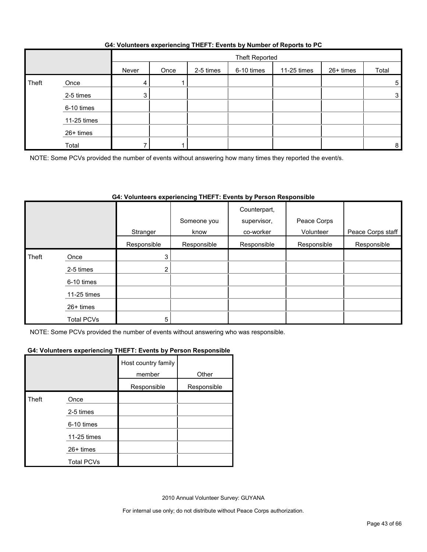#### **G4: Volunteers experiencing THEFT: Events by Number of Reports to PC**

|       |             |       | Theft Reported |           |            |             |           |       |
|-------|-------------|-------|----------------|-----------|------------|-------------|-----------|-------|
|       |             | Never | Once           | 2-5 times | 6-10 times | 11-25 times | 26+ times | Total |
| Theft | Once        | 4     |                |           |            |             |           | 5     |
|       | 2-5 times   | 3     |                |           |            |             |           | 3     |
|       | 6-10 times  |       |                |           |            |             |           |       |
|       | 11-25 times |       |                |           |            |             |           |       |
|       | 26+ times   |       |                |           |            |             |           |       |
|       | Total       |       |                |           |            |             |           | 8     |

NOTE: Some PCVs provided the number of events without answering how many times they reported the event/s.

## **G4: Volunteers experiencing THEFT: Events by Person Responsible**

|       |                   | Stranger       | Someone you<br>know | Counterpart,<br>supervisor,<br>co-worker | Peace Corps<br>Volunteer | Peace Corps staff |
|-------|-------------------|----------------|---------------------|------------------------------------------|--------------------------|-------------------|
|       |                   | Responsible    | Responsible         | Responsible                              | Responsible              | Responsible       |
| Theft | Once              | 3              |                     |                                          |                          |                   |
|       | 2-5 times         | $\overline{2}$ |                     |                                          |                          |                   |
|       | 6-10 times        |                |                     |                                          |                          |                   |
|       | 11-25 times       |                |                     |                                          |                          |                   |
|       | $26+$ times       |                |                     |                                          |                          |                   |
|       | <b>Total PCVs</b> | 5              |                     |                                          |                          |                   |

NOTE: Some PCVs provided the number of events without answering who was responsible.

#### **G4: Volunteers experiencing THEFT: Events by Person Responsible**

|              |                   | Host country family<br>member | Other       |
|--------------|-------------------|-------------------------------|-------------|
|              |                   | Responsible                   | Responsible |
| <b>Theft</b> | Once              |                               |             |
|              | 2-5 times         |                               |             |
|              | 6-10 times        |                               |             |
|              | 11-25 times       |                               |             |
|              | $26+$ times       |                               |             |
|              | <b>Total PCVs</b> |                               |             |

2010 Annual Volunteer Survey: GUYANA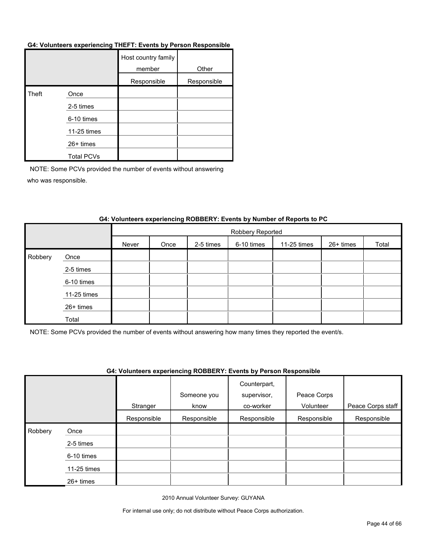#### **G4: Volunteers experiencing THEFT: Events by Person Responsible**

|       |                   | Host country family<br>member | Other       |
|-------|-------------------|-------------------------------|-------------|
|       |                   | Responsible                   | Responsible |
| Theft | Once              |                               |             |
|       | 2-5 times         |                               |             |
|       | 6-10 times        |                               |             |
|       | 11-25 times       |                               |             |
|       | 26+ times         |                               |             |
|       | <b>Total PCVs</b> |                               |             |

NOTE: Some PCVs provided the number of events without answering who was responsible.

|         |             | Robbery Reported |      |           |            |             |           |       |
|---------|-------------|------------------|------|-----------|------------|-------------|-----------|-------|
|         |             | Never            | Once | 2-5 times | 6-10 times | 11-25 times | 26+ times | Total |
| Robbery | Once        |                  |      |           |            |             |           |       |
|         | 2-5 times   |                  |      |           |            |             |           |       |
|         | 6-10 times  |                  |      |           |            |             |           |       |
|         | 11-25 times |                  |      |           |            |             |           |       |
|         | 26+ times   |                  |      |           |            |             |           |       |
|         | Total       |                  |      |           |            |             |           |       |

### **G4: Volunteers experiencing ROBBERY: Events by Number of Reports to PC**

NOTE: Some PCVs provided the number of events without answering how many times they reported the event/s.

#### **G4: Volunteers experiencing ROBBERY: Events by Person Responsible**

|         |             | Stranger    | Someone you<br>know | Counterpart,<br>supervisor,<br>co-worker | Peace Corps<br>Volunteer | Peace Corps staff |
|---------|-------------|-------------|---------------------|------------------------------------------|--------------------------|-------------------|
|         |             | Responsible | Responsible         | Responsible                              | Responsible              | Responsible       |
| Robbery | Once        |             |                     |                                          |                          |                   |
|         | 2-5 times   |             |                     |                                          |                          |                   |
|         | 6-10 times  |             |                     |                                          |                          |                   |
|         | 11-25 times |             |                     |                                          |                          |                   |
|         | 26+ times   |             |                     |                                          |                          |                   |

2010 Annual Volunteer Survey: GUYANA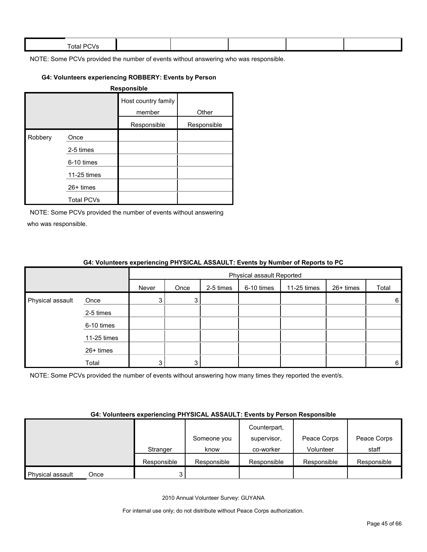| $ -$<br><b>Total PL</b><br>$\mathbf{v}$ |  |  |  |
|-----------------------------------------|--|--|--|
|                                         |  |  |  |

### **G4: Volunteers experiencing ROBBERY: Events by Person**

| Responsible |                   |                               |             |  |  |  |
|-------------|-------------------|-------------------------------|-------------|--|--|--|
|             |                   | Host country family<br>member | Other       |  |  |  |
|             |                   | Responsible                   | Responsible |  |  |  |
| Robbery     | Once              |                               |             |  |  |  |
|             | 2-5 times         |                               |             |  |  |  |
|             | 6-10 times        |                               |             |  |  |  |
|             | 11-25 times       |                               |             |  |  |  |
|             | $26+$ times       |                               |             |  |  |  |
|             | <b>Total PCVs</b> |                               |             |  |  |  |

NOTE: Some PCVs provided the number of events without answering who was responsible.

|                  |             | <b>OT. TORINGO OXPORTIONING ETTEORIAL AQOAQLET. LYGIKS BY NUMBOL OF NOPORS (OT O</b> |                           |           |            |             |           |       |
|------------------|-------------|--------------------------------------------------------------------------------------|---------------------------|-----------|------------|-------------|-----------|-------|
|                  |             |                                                                                      | Physical assault Reported |           |            |             |           |       |
|                  |             | Never                                                                                | Once                      | 2-5 times | 6-10 times | 11-25 times | 26+ times | Total |
| Physical assault | Once        |                                                                                      | 3.                        |           |            |             |           | 6     |
|                  | 2-5 times   |                                                                                      |                           |           |            |             |           |       |
|                  | 6-10 times  |                                                                                      |                           |           |            |             |           |       |
|                  | 11-25 times |                                                                                      |                           |           |            |             |           |       |
|                  | 26+ times   |                                                                                      |                           |           |            |             |           |       |
|                  | Total       |                                                                                      | 3                         |           |            |             |           | 6     |

#### **G4: Volunteers experiencing PHYSICAL ASSAULT: Events by Number of Reports to PC**

NOTE: Some PCVs provided the number of events without answering how many times they reported the event/s.

#### **G4: Volunteers experiencing PHYSICAL ASSAULT: Events by Person Responsible**

|                  |      |             |             | Counterpart, |             |             |
|------------------|------|-------------|-------------|--------------|-------------|-------------|
|                  |      |             | Someone you | supervisor,  | Peace Corps | Peace Corps |
|                  |      | Stranger    | know        | co-worker    | Volunteer   | staff       |
|                  |      | Responsible | Responsible | Responsible  | Responsible | Responsible |
| Physical assault | Once |             |             |              |             |             |

2010 Annual Volunteer Survey: GUYANA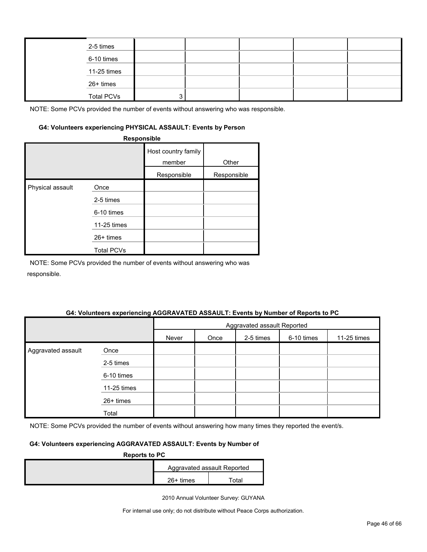|  | 2-5 times         |  |  |  |
|--|-------------------|--|--|--|
|  | 6-10 times        |  |  |  |
|  | 11-25 times       |  |  |  |
|  | 26+ times         |  |  |  |
|  | <b>Total PCVs</b> |  |  |  |

#### **G4: Volunteers experiencing PHYSICAL ASSAULT: Events by Person**

|                  | Responsible                                                                        |                                              |                      |
|------------------|------------------------------------------------------------------------------------|----------------------------------------------|----------------------|
|                  |                                                                                    | Host country family<br>member<br>Responsible | Other<br>Responsible |
| Physical assault | Once<br>2-5 times<br>6-10 times<br>11-25 times<br>$26+$ times<br><b>Total PCVs</b> |                                              |                      |

NOTE: Some PCVs provided the number of events without answering who was responsible.

#### **G4: Volunteers experiencing AGGRAVATED ASSAULT: Events by Number of Reports to PC**

|                    |             | Aggravated assault Reported |      |           |            |             |
|--------------------|-------------|-----------------------------|------|-----------|------------|-------------|
|                    |             | Never                       | Once | 2-5 times | 6-10 times | 11-25 times |
| Aggravated assault | Once        |                             |      |           |            |             |
|                    | 2-5 times   |                             |      |           |            |             |
|                    | 6-10 times  |                             |      |           |            |             |
|                    | 11-25 times |                             |      |           |            |             |
|                    | 26+ times   |                             |      |           |            |             |
|                    | Total       |                             |      |           |            |             |

NOTE: Some PCVs provided the number of events without answering how many times they reported the event/s.

### **G4: Volunteers experiencing AGGRAVATED ASSAULT: Events by Number of**

| <b>Reports to PC</b> |             |                             |  |  |  |  |
|----------------------|-------------|-----------------------------|--|--|--|--|
|                      |             | Aggravated assault Reported |  |  |  |  |
|                      | $26+$ times | ™otal                       |  |  |  |  |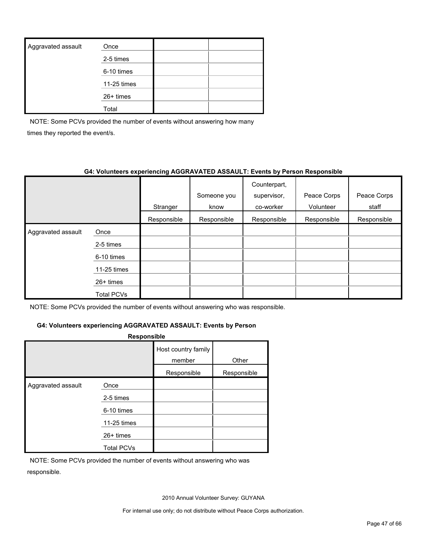| Aggravated assault | Once        |  |
|--------------------|-------------|--|
|                    | 2-5 times   |  |
|                    | 6-10 times  |  |
|                    | 11-25 times |  |
|                    | $26+$ times |  |
|                    | Total       |  |

NOTE: Some PCVs provided the number of events without answering how many times they reported the event/s.

#### **G4: Volunteers experiencing AGGRAVATED ASSAULT: Events by Person Responsible**

|                    |             |             | Someone you | Counterpart,<br>supervisor, | Peace Corps | Peace Corps |
|--------------------|-------------|-------------|-------------|-----------------------------|-------------|-------------|
|                    |             | Stranger    | know        | co-worker                   | Volunteer   | staff       |
|                    |             | Responsible | Responsible | Responsible                 | Responsible | Responsible |
| Aggravated assault | Once        |             |             |                             |             |             |
|                    | 2-5 times   |             |             |                             |             |             |
|                    | 6-10 times  |             |             |                             |             |             |
|                    | 11-25 times |             |             |                             |             |             |
|                    | $26+$ times |             |             |                             |             |             |
|                    | Total PCVs  |             |             |                             |             |             |

NOTE: Some PCVs provided the number of events without answering who was responsible.

### **G4: Volunteers experiencing AGGRAVATED ASSAULT: Events by Person**

| <b>Responsible</b> |                                 |                               |             |  |  |  |  |
|--------------------|---------------------------------|-------------------------------|-------------|--|--|--|--|
|                    |                                 | Host country family<br>member | Other       |  |  |  |  |
|                    |                                 | Responsible                   | Responsible |  |  |  |  |
| Aggravated assault | Once<br>2-5 times<br>6-10 times |                               |             |  |  |  |  |
|                    | 11-25 times                     |                               |             |  |  |  |  |
|                    | $26+$ times                     |                               |             |  |  |  |  |
|                    | <b>Total PCVs</b>               |                               |             |  |  |  |  |

NOTE: Some PCVs provided the number of events without answering who was responsible.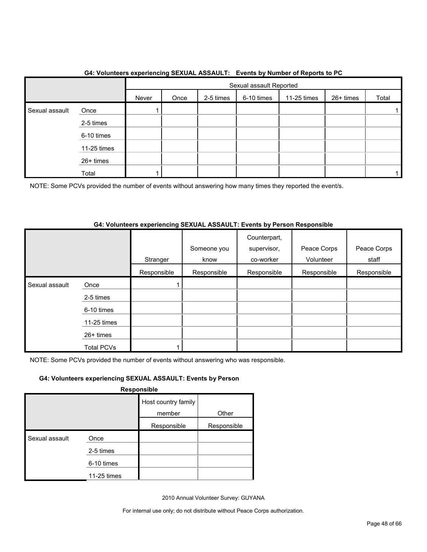|                |             |       | Sexual assault Reported |           |            |             |           |       |
|----------------|-------------|-------|-------------------------|-----------|------------|-------------|-----------|-------|
|                |             | Never | Once                    | 2-5 times | 6-10 times | 11-25 times | 26+ times | Total |
| Sexual assault | Once        |       |                         |           |            |             |           |       |
|                | 2-5 times   |       |                         |           |            |             |           |       |
|                | 6-10 times  |       |                         |           |            |             |           |       |
|                | 11-25 times |       |                         |           |            |             |           |       |
|                | 26+ times   |       |                         |           |            |             |           |       |
|                | Total       |       |                         |           |            |             |           |       |

### **G4: Volunteers experiencing SEXUAL ASSAULT: Events by Number of Reports to PC**

NOTE: Some PCVs provided the number of events without answering how many times they reported the event/s.

#### **G4: Volunteers experiencing SEXUAL ASSAULT: Events by Person Responsible**

|                |                   | Stranger    | Someone you<br>know | Counterpart,<br>supervisor,<br>co-worker | Peace Corps<br>Volunteer | Peace Corps<br>staff |
|----------------|-------------------|-------------|---------------------|------------------------------------------|--------------------------|----------------------|
|                |                   | Responsible | Responsible         | Responsible                              | Responsible              | Responsible          |
| Sexual assault | Once              |             |                     |                                          |                          |                      |
|                | 2-5 times         |             |                     |                                          |                          |                      |
|                | 6-10 times        |             |                     |                                          |                          |                      |
|                | 11-25 times       |             |                     |                                          |                          |                      |
|                | $26+$ times       |             |                     |                                          |                          |                      |
|                | <b>Total PCVs</b> |             |                     |                                          |                          |                      |

NOTE: Some PCVs provided the number of events without answering who was responsible.

## **G4: Volunteers experiencing SEXUAL ASSAULT: Events by Person**

**Responsible**

|                |             | Host country family |             |
|----------------|-------------|---------------------|-------------|
|                |             | member              | Other       |
|                |             | Responsible         | Responsible |
| Sexual assault | Once        |                     |             |
|                | 2-5 times   |                     |             |
|                | 6-10 times  |                     |             |
|                | 11-25 times |                     |             |

2010 Annual Volunteer Survey: GUYANA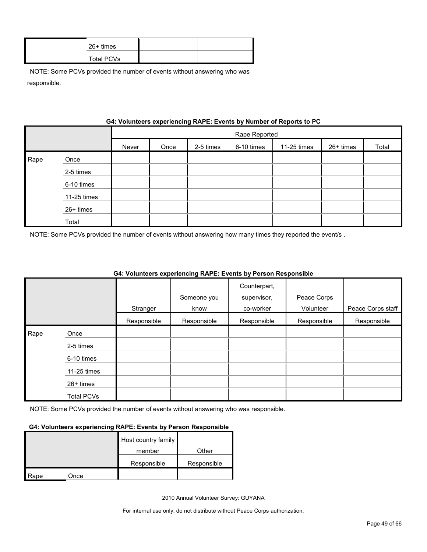| 26+ times  |  |
|------------|--|
| Total PCVs |  |

|      | G4: VOIUNTERS EXPERIENCING RAPE: EVENTS by NUMBER OF REPORTS TO PU |       |               |           |            |             |           |       |  |  |
|------|--------------------------------------------------------------------|-------|---------------|-----------|------------|-------------|-----------|-------|--|--|
|      |                                                                    |       | Rape Reported |           |            |             |           |       |  |  |
|      |                                                                    | Never | Once          | 2-5 times | 6-10 times | 11-25 times | 26+ times | Total |  |  |
| Rape | Once                                                               |       |               |           |            |             |           |       |  |  |
|      | 2-5 times                                                          |       |               |           |            |             |           |       |  |  |
|      | 6-10 times                                                         |       |               |           |            |             |           |       |  |  |
|      | 11-25 times                                                        |       |               |           |            |             |           |       |  |  |
|      | 26+ times                                                          |       |               |           |            |             |           |       |  |  |
|      | Total                                                              |       |               |           |            |             |           |       |  |  |

## **Gynorionaing DADE: Events by Number of Bene**

NOTE: Some PCVs provided the number of events without answering how many times they reported the event/s .

|      |                   |             |             | Counterpart, |             |                   |
|------|-------------------|-------------|-------------|--------------|-------------|-------------------|
|      |                   |             | Someone you | supervisor,  | Peace Corps |                   |
|      |                   | Stranger    | know        | co-worker    | Volunteer   | Peace Corps staff |
|      |                   | Responsible | Responsible | Responsible  | Responsible | Responsible       |
| Rape | Once              |             |             |              |             |                   |
|      | 2-5 times         |             |             |              |             |                   |
|      | 6-10 times        |             |             |              |             |                   |
|      | 11-25 times       |             |             |              |             |                   |
|      | $26+$ times       |             |             |              |             |                   |
|      | <b>Total PCVs</b> |             |             |              |             |                   |

## **G4: Volunteers experiencing RAPE: Events by Person Responsible**

NOTE: Some PCVs provided the number of events without answering who was responsible.

#### **G4: Volunteers experiencing RAPE: Events by Person Responsible**

|      |      | Host country family |             |
|------|------|---------------------|-------------|
|      |      | member              | Other       |
|      |      | Responsible         | Responsible |
| Rape | Once |                     |             |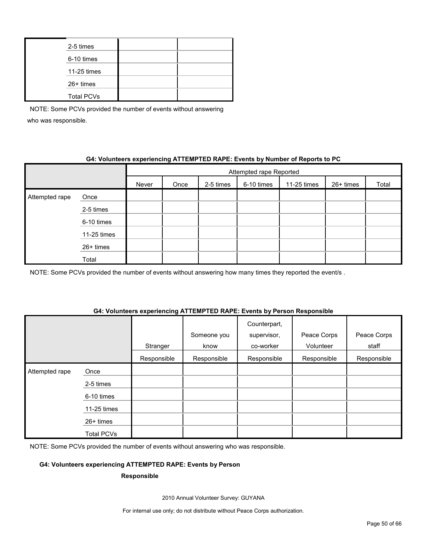| 2-5 times         |  |
|-------------------|--|
| 6-10 times        |  |
| 11-25 times       |  |
| 26+ times         |  |
| <b>Total PCVs</b> |  |

## **G4: Volunteers experiencing ATTEMPTED RAPE: Events by Number of Reports to PC**

|                |             |       | Attempted rape Reported |           |            |             |           |       |  |
|----------------|-------------|-------|-------------------------|-----------|------------|-------------|-----------|-------|--|
|                |             | Never | Once                    | 2-5 times | 6-10 times | 11-25 times | 26+ times | Total |  |
| Attempted rape | Once        |       |                         |           |            |             |           |       |  |
|                | 2-5 times   |       |                         |           |            |             |           |       |  |
|                | 6-10 times  |       |                         |           |            |             |           |       |  |
|                | 11-25 times |       |                         |           |            |             |           |       |  |
|                | 26+ times   |       |                         |           |            |             |           |       |  |
|                | Total       |       |                         |           |            |             |           |       |  |

NOTE: Some PCVs provided the number of events without answering how many times they reported the event/s.

#### **G4: Volunteers experiencing ATTEMPTED RAPE: Events by Person Responsible**

|                |             | Stranger    | Someone you<br>know | Counterpart,<br>supervisor,<br>co-worker | Peace Corps<br>Volunteer | Peace Corps<br>staff |
|----------------|-------------|-------------|---------------------|------------------------------------------|--------------------------|----------------------|
|                |             | Responsible | Responsible         | Responsible                              | Responsible              | Responsible          |
| Attempted rape | Once        |             |                     |                                          |                          |                      |
|                | 2-5 times   |             |                     |                                          |                          |                      |
|                | 6-10 times  |             |                     |                                          |                          |                      |
|                | 11-25 times |             |                     |                                          |                          |                      |
|                | 26+ times   |             |                     |                                          |                          |                      |
|                | Total PCVs  |             |                     |                                          |                          |                      |

NOTE: Some PCVs provided the number of events without answering who was responsible.

#### **G4: Volunteers experiencing ATTEMPTED RAPE: Events by Person**

### **Responsible**

2010 Annual Volunteer Survey: GUYANA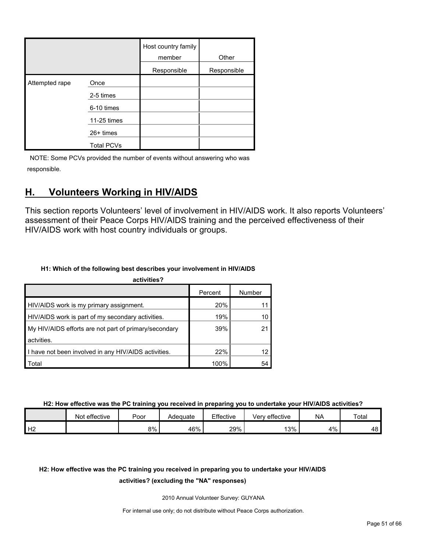|                |                   | Host country family<br>member | Other       |
|----------------|-------------------|-------------------------------|-------------|
|                |                   | Responsible                   | Responsible |
| Attempted rape | Once              |                               |             |
|                | 2-5 times         |                               |             |
|                | 6-10 times        |                               |             |
|                | 11-25 times       |                               |             |
|                | 26+ times         |                               |             |
|                | <b>Total PCVs</b> |                               |             |

## <span id="page-50-0"></span>**H. Volunteers Working in HIV/AIDS**

This section reports Volunteers' level of involvement in HIV/AIDS work. It also reports Volunteers' assessment of their Peace Corps HIV/AIDS training and the perceived effectiveness of their HIV/AIDS work with host country individuals or groups.

## **H1: Which of the following best describes your involvement in HIV/AIDS**

| activities?                                           |         |        |  |  |  |  |  |  |
|-------------------------------------------------------|---------|--------|--|--|--|--|--|--|
|                                                       | Percent | Number |  |  |  |  |  |  |
| HIV/AIDS work is my primary assignment.               | 20%     |        |  |  |  |  |  |  |
| HIV/AIDS work is part of my secondary activities.     | 19%     | 10     |  |  |  |  |  |  |
| My HIV/AIDS efforts are not part of primary/secondary | 39%     | 21     |  |  |  |  |  |  |
| actvities.                                            |         |        |  |  |  |  |  |  |
| I have not been involved in any HIV/AIDS activities.  | 22%     | 12     |  |  |  |  |  |  |
| Total                                                 | 100%    | 54     |  |  |  |  |  |  |

**H2: How effective was the PC training you received in preparing you to undertake your HIV/AIDS activities?**

|                | Not effective | Poor | Adequate | Effective | Very effective | <b>NA</b> | Total |
|----------------|---------------|------|----------|-----------|----------------|-----------|-------|
| H <sub>2</sub> |               | 8%   | 46%      | 29%       | 13%            | 4%        | 48    |

## **H2: How effective was the PC training you received in preparing you to undertake your HIV/AIDS**

#### **activities? (excluding the "NA" responses)**

2010 Annual Volunteer Survey: GUYANA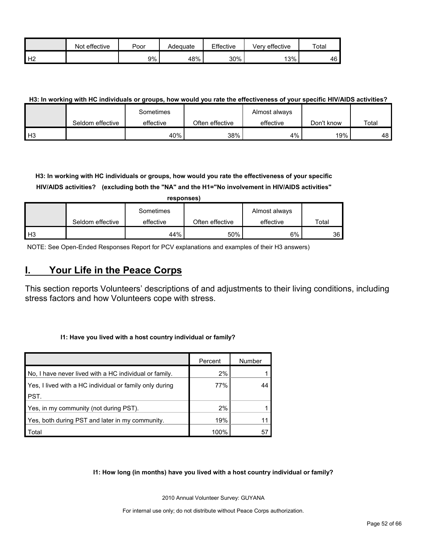|                | effective<br>Not | Poor | Adequate | Effective | Verv effective | Total |
|----------------|------------------|------|----------|-----------|----------------|-------|
| H <sub>2</sub> |                  | 9%   | 48%      | 30%       | 13%            | 46    |

#### **H3: In working with HC individuals or groups, how would you rate the effectiveness of your specific HIV/AIDS activities?**

|                |                  | Sometimes |                 | Almost always |            |       |
|----------------|------------------|-----------|-----------------|---------------|------------|-------|
|                | Seldom effective | effective | Often effective | effective     | Don't know | Total |
| H <sub>3</sub> |                  | 40%       | 38%             | 4%            | 19%        | 48 I  |

**H3: In working with HC individuals or groups, how would you rate the effectiveness of your specific HIV/AIDS activities? (excluding both the "NA" and the H1="No involvement in HIV/AIDS activities"** 

|                | responses)       |           |                 |               |       |  |  |  |
|----------------|------------------|-----------|-----------------|---------------|-------|--|--|--|
|                |                  | Sometimes |                 | Almost always |       |  |  |  |
|                | Seldom effective | effective | Often effective | effective     | Total |  |  |  |
| H <sub>3</sub> |                  | 44%       | 50%             | 6%            | 36    |  |  |  |

NOTE: See Open-Ended Responses Report for PCV explanations and examples of their H3 answers)

## <span id="page-51-0"></span>**I. Your Life in the Peace Corps**

This section reports Volunteers' descriptions of and adjustments to their living conditions, including stress factors and how Volunteers cope with stress.

#### **I1: Have you lived with a host country individual or family?**

|                                                         | Percent | Number |
|---------------------------------------------------------|---------|--------|
| No, I have never lived with a HC individual or family.  | 2%      |        |
| Yes, I lived with a HC individual or family only during | 77%     |        |
| PST.                                                    |         |        |
| Yes, in my community (not during PST).                  | 2%      |        |
| Yes, both during PST and later in my community.         | 19%     |        |
| Total                                                   | 100%    | 5.     |

#### **I1: How long (in months) have you lived with a host country individual or family?**

2010 Annual Volunteer Survey: GUYANA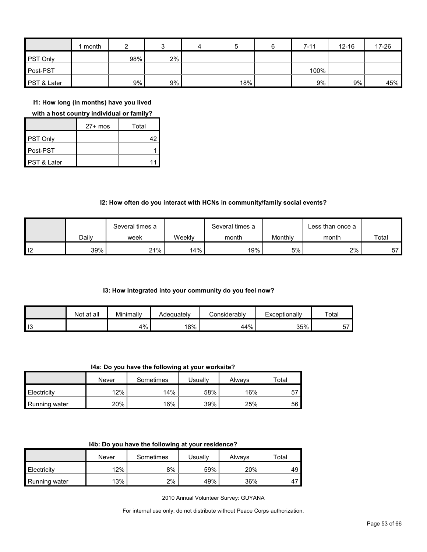|                 | month | ີ     |    | 4 | 5   | $7 - 11$ | $12 - 16$ | 17-26 |
|-----------------|-------|-------|----|---|-----|----------|-----------|-------|
| <b>PST Only</b> |       | 98%   | 2% |   |     |          |           |       |
| Post-PST        |       |       |    |   |     | 100%     |           |       |
| PST & Later     |       | $9\%$ | 9% |   | 18% | 9%       | 9%        | 45%   |

**I1: How long (in months) have you lived** 

**with a host country individual or family?**

|                        | $27+$ mos | Total |
|------------------------|-----------|-------|
| PST Only               |           | 42    |
| Post-PST               |           |       |
| <b>PST &amp; Later</b> |           |       |

#### **I2: How often do you interact with HCNs in community/family social events?**

|                |       | Several times a |        | Several times a |         | Less than once a |       |
|----------------|-------|-----------------|--------|-----------------|---------|------------------|-------|
|                | Dailv | week            | Weekly | month           | Monthly | month            | Total |
| $\overline{2}$ | 39%   | 21%             | 14%    | 19%             | 5%      | 2%               | 57    |

#### **I3: How integrated into your community do you feel now?**

|    | Not at all | Minimally | Adeauatelv | :onsiderablv | Exceptionally | Total   |
|----|------------|-----------|------------|--------------|---------------|---------|
| 13 |            | 4%        | 18%        | 44%          | 35%           | --<br>ີ |

**I4a: Do you have the following at your worksite?**

|               | Never  | Sometimes | Usuallv | Always | $\tau$ otal |
|---------------|--------|-----------|---------|--------|-------------|
| Electricity   | $12\%$ | 14%       | 58%     | 16%    | 57          |
| Running water | 20%    | 16%       | 39%     | 25%    | 56          |

|  | 14b: Do you have the following at your residence? |  |
|--|---------------------------------------------------|--|
|--|---------------------------------------------------|--|

|                      | Never  | Sometimes | Usuallv | Always | ™otal |
|----------------------|--------|-----------|---------|--------|-------|
| Electricity          | $12\%$ | 8%        | 59%     | 20%    | 49    |
| <b>Running water</b> | 13%    | $2\%$     | 49%     | 36%    | 47    |

2010 Annual Volunteer Survey: GUYANA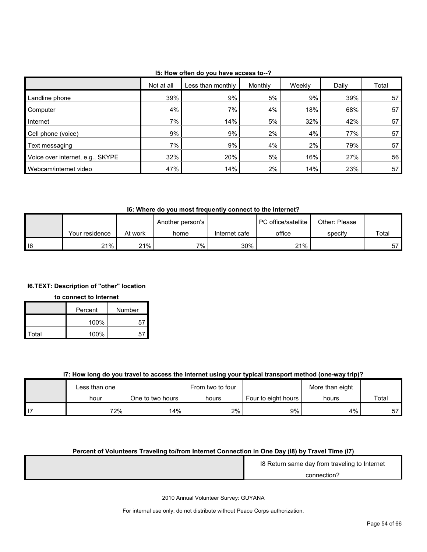|                                  | Not at all | Less than monthly | Monthly | Weekly | Daily | Total |
|----------------------------------|------------|-------------------|---------|--------|-------|-------|
| Landline phone                   | 39%        | 9%                | 5%      | 9%     | 39%   | 57    |
| Computer                         | 4%         | 7%                | 4%      | 18%    | 68%   | 57    |
| Internet                         | 7%         | 14%               | 5%      | 32%    | 42%   | 57    |
| Cell phone (voice)               | 9%         | 9%                | 2%      | 4%     | 77%   | 57    |
| Text messaging                   | 7%         | 9%                | 4%      | 2%     | 79%   | 57    |
| Voice over internet, e.g., SKYPE | 32%        | 20%               | 5%      | 16%    | 27%   | 56    |
| Webcam/internet video            | 47%        | 14%               | 2%      | 14%    | 23%   | 57    |

## **I5: How often do you have access to--?**

**I6: Where do you most frequently connect to the Internet?**

|            |                |         | Another person's |               | PC office/satellite | Other: Please |       |
|------------|----------------|---------|------------------|---------------|---------------------|---------------|-------|
|            | Your residence | At work | home             | Internet cafe | office              | specify       | Total |
| $\vert$ 16 | 21%            | 21%     | 7%               | 30%           | 21%                 |               | --    |

## **I6.TEXT: Description of "other" location**

#### **to connect to Internet**

|                   | Percent | Number |  |
|-------------------|---------|--------|--|
|                   | 100%    |        |  |
| <sup>-</sup> otal | 100%    |        |  |

## **I7: How long do you travel to access the internet using your typical transport method (one-way trip)?**

|      | Less than one |                  | From two to four |                     | More than eight |       |
|------|---------------|------------------|------------------|---------------------|-----------------|-------|
|      | hour          | One to two hours | hours            | Four to eight hours | hours           | Total |
| l 17 | 72%           | 14%              | 2%               | 9%                  | 4%              | 57    |

#### **Percent of Volunteers Traveling to/from Internet Connection in One Day (I8) by Travel Time (I7)**

| 18 Return same day from traveling to Internet |
|-----------------------------------------------|
| connection?                                   |
|                                               |

2010 Annual Volunteer Survey: GUYANA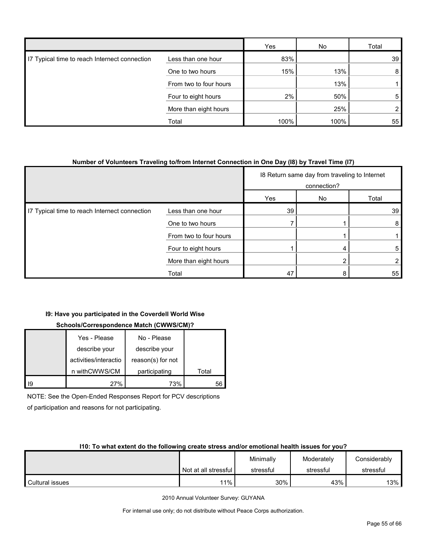|                                               |                        | Yes  | No   | Total          |
|-----------------------------------------------|------------------------|------|------|----------------|
| 17 Typical time to reach Internect connection | Less than one hour     | 83%  |      | 39             |
|                                               | One to two hours       | 15%  | 13%  | 8 <sup>1</sup> |
|                                               | From two to four hours |      | 13%  |                |
|                                               | Four to eight hours    | 2%   | 50%  | 5              |
|                                               | More than eight hours  |      | 25%  | $\overline{2}$ |
|                                               | Total                  | 100% | 100% | 55             |

#### **Number of Volunteers Traveling to/from Internet Connection in One Day (I8) by Travel Time (I7)**

|                                               |                        | 18 Return same day from traveling to Internet<br>connection? |  |    |
|-----------------------------------------------|------------------------|--------------------------------------------------------------|--|----|
|                                               |                        | Yes<br>No<br>Total                                           |  |    |
| I7 Typical time to reach Internect connection | Less than one hour     | 39                                                           |  | 39 |
|                                               | One to two hours       |                                                              |  | 8  |
|                                               | From two to four hours |                                                              |  |    |
|                                               | Four to eight hours    |                                                              |  | 5  |
|                                               | More than eight hours  |                                                              |  |    |
|                                               | Total                  | 47                                                           |  | 55 |

## **I9: Have you participated in the Coverdell World Wise**

## **Schools/Correspondence Match (CWWS/CM)?**

|    | Yes - Please          | No - Please       |       |
|----|-----------------------|-------------------|-------|
|    | describe your         | describe your     |       |
|    | activities/interactio | reason(s) for not |       |
|    | n withCWWS/CM         | participating     | Total |
| ١q | 27%                   | 73%               | 56    |

NOTE: See the Open-Ended Responses Report for PCV descriptions

of participation and reasons for not participating.

#### **I10: To what extent do the following create stress and/or emotional health issues for you?**

|                 |                        | Minimally | Moderately | Considerably |
|-----------------|------------------------|-----------|------------|--------------|
|                 | Not at all stressful I | stressful | stressful  | stressful    |
| Cultural issues | 11%                    | 30%       | 43%        | 13%          |

2010 Annual Volunteer Survey: GUYANA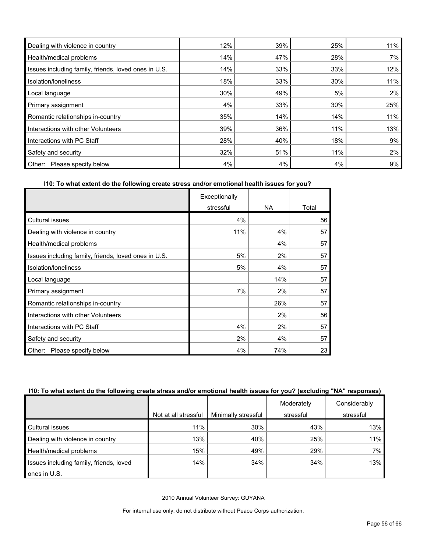| Dealing with violence in country                     | 12% | 39% | 25% | 11% |
|------------------------------------------------------|-----|-----|-----|-----|
| Health/medical problems                              | 14% | 47% | 28% | 7%  |
| Issues including family, friends, loved ones in U.S. | 14% | 33% | 33% | 12% |
| Isolation/Ioneliness                                 | 18% | 33% | 30% | 11% |
| Local language                                       | 30% | 49% | 5%  | 2%  |
| Primary assignment                                   | 4%  | 33% | 30% | 25% |
| Romantic relationships in-country                    | 35% | 14% | 14% | 11% |
| Interactions with other Volunteers                   | 39% | 36% | 11% | 13% |
| Interactions with PC Staff                           | 28% | 40% | 18% | 9%  |
| Safety and security                                  | 32% | 51% | 11% | 2%  |
| Please specify below<br>Other:                       | 4%  | 4%  | 4%  | 9%  |

## **I10: To what extent do the following create stress and/or emotional health issues for you?**

|                                                      | Exceptionally |     |       |
|------------------------------------------------------|---------------|-----|-------|
|                                                      | stressful     | NA. | Total |
| <b>Cultural issues</b>                               | 4%            |     | 56    |
| Dealing with violence in country                     | 11%           | 4%  | 57    |
| Health/medical problems                              |               | 4%  | 57    |
| Issues including family, friends, loved ones in U.S. | 5%            | 2%  | 57    |
| Isolation/loneliness                                 | 5%            | 4%  | 57    |
| Local language                                       |               | 14% | 57    |
| Primary assignment                                   | 7%            | 2%  | 57    |
| Romantic relationships in-country                    |               | 26% | 57    |
| Interactions with other Volunteers                   |               | 2%  | 56    |
| Interactions with PC Staff                           | 4%            | 2%  | 57    |
| Safety and security                                  | 2%            | 4%  | 57    |
| Please specify below<br>Other:                       | 4%            | 74% | 23    |

#### **I10: To what extent do the following create stress and/or emotional health issues for you? (excluding "NA" responses)**

|                                         |                      |                     | Moderately | Considerably |
|-----------------------------------------|----------------------|---------------------|------------|--------------|
|                                         | Not at all stressful | Minimally stressful | stressful  | stressful    |
| Cultural issues                         | 11%                  | 30%                 | 43%        | 13%          |
| Dealing with violence in country        | 13%                  | 40%                 | 25%        | 11%          |
| Health/medical problems                 | 15%                  | 49%                 | 29%        | 7%           |
| Issues including family, friends, loved | 14%                  | 34%                 | 34%        | 13%          |
| ones in U.S.                            |                      |                     |            |              |

2010 Annual Volunteer Survey: GUYANA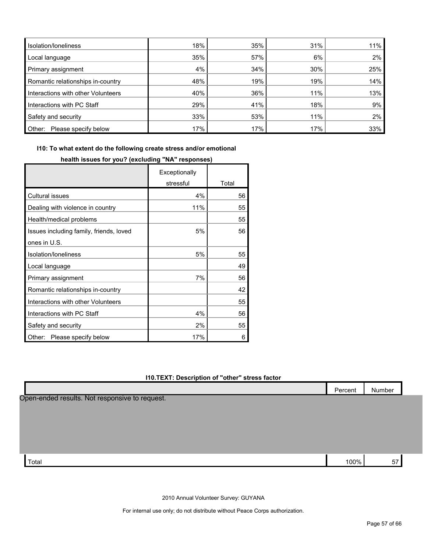| Isolation/Ioneliness               | 18% | 35% | 31% | 11%   |
|------------------------------------|-----|-----|-----|-------|
| Local language                     | 35% | 57% | 6%  | $2\%$ |
| Primary assignment                 | 4%  | 34% | 30% | 25%   |
| Romantic relationships in-country  | 48% | 19% | 19% | 14%   |
| Interactions with other Volunteers | 40% | 36% | 11% | 13%   |
| Interactions with PC Staff         | 29% | 41% | 18% | 9%    |
| Safety and security                | 33% | 53% | 11% | 2%    |
| Other:<br>Please specify below     | 17% | 17% | 17% | 33%   |

**I10: To what extent do the following create stress and/or emotional** 

|                                         | Exceptionally |       |
|-----------------------------------------|---------------|-------|
|                                         | stressful     | Total |
| <b>Cultural issues</b>                  | 4%            | 56    |
| Dealing with violence in country        | 11%           | 55    |
| Health/medical problems                 |               | 55    |
| Issues including family, friends, loved | 5%            | 56    |
| ones in U.S.                            |               |       |
| Isolation/Ioneliness                    | 5%            | 55    |
| Local language                          |               | 49    |
| Primary assignment                      | 7%            | 56    |
| Romantic relationships in-country       |               | 42    |
| Interactions with other Volunteers      |               | 55    |
| Interactions with PC Staff              | 4%            | 56    |
| Safety and security                     | 2%            | 55    |
| Please specify below<br>Other:          | 17%           | 6     |

## **health issues for you? (excluding "NA" responses)**

#### **I10.TEXT: Description of "other" stress factor**

|                                                | Percent | Number |  |
|------------------------------------------------|---------|--------|--|
| Open-ended results. Not responsive to request. |         |        |  |
|                                                |         |        |  |
|                                                |         |        |  |
|                                                |         |        |  |
|                                                |         |        |  |
| Total                                          | 100%    | 57     |  |
|                                                |         |        |  |

2010 Annual Volunteer Survey: GUYANA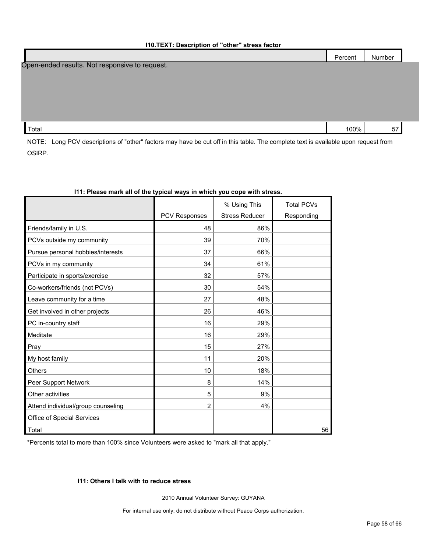| Professor Popoliption of Strict Stropp Rotor   |         |        |  |  |  |  |
|------------------------------------------------|---------|--------|--|--|--|--|
|                                                | Percent | Number |  |  |  |  |
| Open-ended results. Not responsive to request. |         |        |  |  |  |  |
|                                                |         |        |  |  |  |  |
|                                                |         |        |  |  |  |  |
|                                                |         |        |  |  |  |  |
|                                                |         |        |  |  |  |  |
| Total                                          | 100%    | 57     |  |  |  |  |
|                                                |         |        |  |  |  |  |

NOTE: Long PCV descriptions of "other" factors may have be cut off in this table. The complete text is available upon request from OSIRP.

|                                    |               | % Using This          | <b>Total PCVs</b> |
|------------------------------------|---------------|-----------------------|-------------------|
|                                    | PCV Responses | <b>Stress Reducer</b> | Responding        |
| Friends/family in U.S.             | 48            | 86%                   |                   |
| PCVs outside my community          | 39            | 70%                   |                   |
| Pursue personal hobbies/interests  | 37            | 66%                   |                   |
| PCVs in my community               | 34            | 61%                   |                   |
| Participate in sports/exercise     | 32            | 57%                   |                   |
| Co-workers/friends (not PCVs)      | 30            | 54%                   |                   |
| Leave community for a time         | 27            | 48%                   |                   |
| Get involved in other projects     | 26            | 46%                   |                   |
| PC in-country staff                | 16            | 29%                   |                   |
| Meditate                           | 16            | 29%                   |                   |
| Pray                               | 15            | 27%                   |                   |
| My host family                     | 11            | 20%                   |                   |
| Others                             | 10            | 18%                   |                   |
| Peer Support Network               | 8             | 14%                   |                   |
| Other activities                   | 5             | 9%                    |                   |
| Attend individual/group counseling | 2             | 4%                    |                   |
| Office of Special Services         |               |                       |                   |
| Total                              |               |                       | 56                |

#### **I11: Please mark all of the typical ways in which you cope with stress.**

\*Percents total to more than 100% since Volunteers were asked to "mark all that apply."

## **I11: Others I talk with to reduce stress**

2010 Annual Volunteer Survey: GUYANA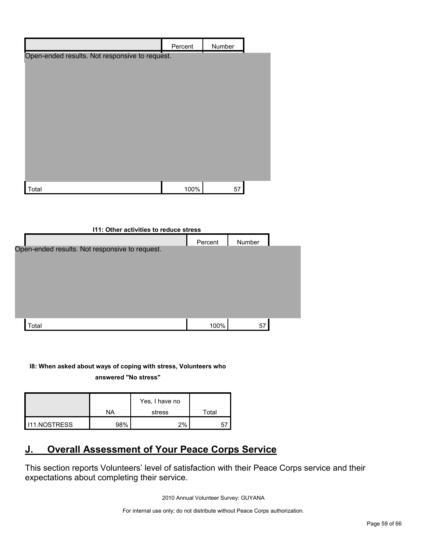|                                                | Percent | Number |  |
|------------------------------------------------|---------|--------|--|
| Open-ended results. Not responsive to request. |         |        |  |
|                                                |         |        |  |
|                                                |         |        |  |
|                                                |         |        |  |
|                                                |         |        |  |
|                                                |         |        |  |
|                                                |         |        |  |
|                                                |         |        |  |
|                                                |         |        |  |
| Total                                          | 100%    | 57     |  |



## **I8: When asked about ways of coping with stress, Volunteers who**

**answered "No stress"** 

|                     | NA   | Yes, I have no<br>stress | Total |
|---------------------|------|--------------------------|-------|
| <b>I11.NOSTRESS</b> | 020/ | 2%                       |       |

## <span id="page-58-0"></span>**J. Overall Assessment of Your Peace Corps Service**

This section reports Volunteers' level of satisfaction with their Peace Corps service and their expectations about completing their service.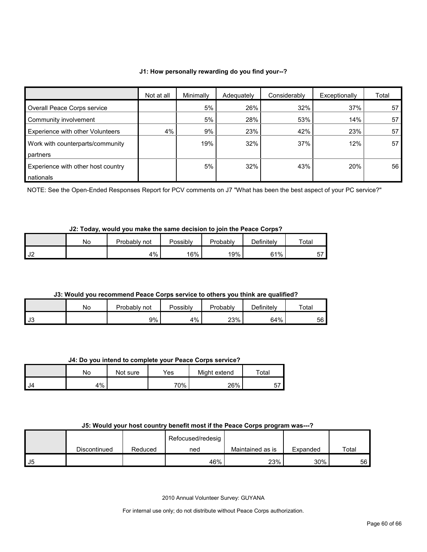#### **J1: How personally rewarding do you find your--?**

|                                    | Not at all | Minimally | Adequately | Considerably | Exceptionally | Total |
|------------------------------------|------------|-----------|------------|--------------|---------------|-------|
| Overall Peace Corps service        |            | 5%        | 26%        | 32%          | 37%           | 57    |
| Community involvement              |            | 5%        | 28%        | 53%          | 14%           | 57    |
| Experience with other Volunteers   | 4%         | 9%        | 23%        | 42%          | 23%           | 57    |
| Work with counterparts/community   |            | 19%       | 32%        | 37%          | 12%           | 57    |
| partners                           |            |           |            |              |               |       |
| Experience with other host country |            | 5%        | 32%        | 43%          | 20%           | 56    |
| nationals                          |            |           |            |              |               |       |

NOTE: See the Open-Ended Responses Report for PCV comments on J7 "What has been the best aspect of your PC service?"

## **J2: Today, would you make the same decision to join the Peace Corps?**

|          | No | Probably not | Possibly | Probablv | Definitely | Total     |
|----------|----|--------------|----------|----------|------------|-----------|
| יי<br>∠⊍ |    | 4%           | 16%      | 19%      | 61%        | --<br>، ب |

#### **J3: Would you recommend Peace Corps service to others you think are qualified?**

|      | No | Probably.<br>not | Possibly | Probably | Definitely | $\tau$ otai |
|------|----|------------------|----------|----------|------------|-------------|
| l J3 |    | 9%               | 4%       | 23%      | 64%        | 56          |

### **J4: Do you intend to complete your Peace Corps service?**

|      | No | Not sure | $\mathsf{v}_{\mathsf{es}}$ | Might extend | Total   |
|------|----|----------|----------------------------|--------------|---------|
| - J4 | 4% |          | 70%                        | 26%          | -7<br>ັ |

#### **J5: Would your host country benefit most if the Peace Corps program was---?**

|      |              |         | Refocused/redesig |                  |          |                 |
|------|--------------|---------|-------------------|------------------|----------|-----------------|
|      | Discontinued | Reduced | ned               | Maintained as is | Expanded | Total           |
| l J5 |              |         | 46%               | 23%              | 30%      | 56 <sub>1</sub> |

2010 Annual Volunteer Survey: GUYANA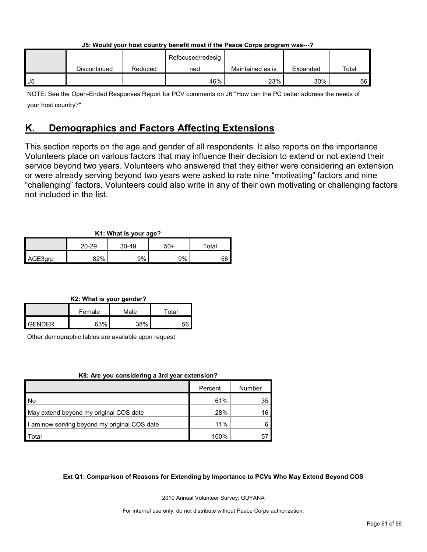| J5: Would vour host country benefit most if the Peace Corps program was---? |         |                   |                  |          |       |  |
|-----------------------------------------------------------------------------|---------|-------------------|------------------|----------|-------|--|
|                                                                             |         | Refocused/redesig |                  |          |       |  |
| Discontinued                                                                | Reduced | ned               | Maintained as is | Expanded | Total |  |

| J5: Would your host country benefit most if the Peace Corps program was---? |  |
|-----------------------------------------------------------------------------|--|
|                                                                             |  |

NOTE: See the Open-Ended Responses Report for PCV comments on J6 "How can the PC better address the needs of your host country?"

J5 46% 23% 30% 56

## <span id="page-60-0"></span>**K. Demographics and Factors Affecting Extensions**

This section reports on the age and gender of all respondents. It also reports on the importance Volunteers place on various factors that may influence their decision to extend or not extend their service beyond two years. Volunteers who answered that they either were considering an extension or were already serving beyond two years were asked to rate nine "motivating" factors and nine "challenging" factors. Volunteers could also write in any of their own motivating or challenging factors not included in the list.

## **K1: What is your age?**

|         |       |       | . . |       |
|---------|-------|-------|-----|-------|
|         | 20-29 | 30-49 | 50+ | ™otal |
| AGE3grp | 82%   | 9%    | 9%  | 56    |

## **K2: What is your gender?**

|                | Female | Male | ™ota⊧ |
|----------------|--------|------|-------|
| <b>LGENDER</b> | 63%    | 38%  | EQ    |

Other demographic tables are available upon request

## **K8: Are you considering a 3rd year extension?**

|                                              | Percent | Number |
|----------------------------------------------|---------|--------|
| l No                                         | 61%     | 35     |
| May extend beyond my original COS date       | 28%     | 16     |
| I am now serving beyond my original COS date | 11%     |        |
| Total                                        | 100%    | 5      |

## **Ext Q1: Comparison of Reasons for Extending by Importance to PCVs Who May Extend Beyond COS**

2010 Annual Volunteer Survey: GUYANA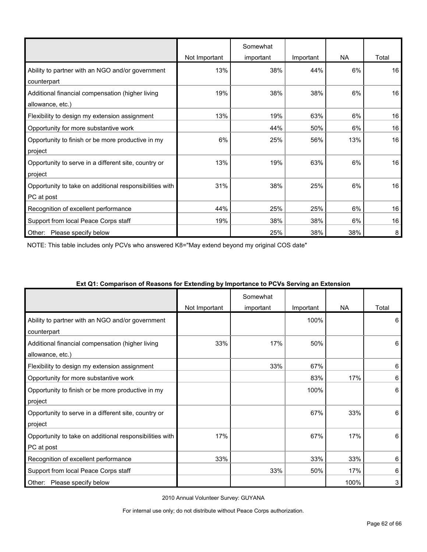|                                                         |               | Somewhat  |           |           |       |
|---------------------------------------------------------|---------------|-----------|-----------|-----------|-------|
|                                                         | Not Important | important | Important | <b>NA</b> | Total |
| Ability to partner with an NGO and/or government        | 13%           | 38%       | 44%       | 6%        | 16    |
| counterpart                                             |               |           |           |           |       |
| Additional financial compensation (higher living        | 19%           | 38%       | 38%       | 6%        | 16    |
| allowance, etc.)                                        |               |           |           |           |       |
| Flexibility to design my extension assignment           | 13%           | 19%       | 63%       | 6%        | 16    |
| Opportunity for more substantive work                   |               | 44%       | 50%       | 6%        | 16    |
| Opportunity to finish or be more productive in my       | 6%            | 25%       | 56%       | 13%       | 16    |
| project                                                 |               |           |           |           |       |
| Opportunity to serve in a different site, country or    | 13%           | 19%       | 63%       | 6%        | 16    |
| project                                                 |               |           |           |           |       |
| Opportunity to take on additional responsibilities with | 31%           | 38%       | 25%       | 6%        | 16    |
| PC at post                                              |               |           |           |           |       |
| Recognition of excellent performance                    | 44%           | 25%       | 25%       | 6%        | 16    |
| Support from local Peace Corps staff                    | 19%           | 38%       | 38%       | 6%        | 16    |
| Other:<br>Please specify below                          |               | 25%       | 38%       | 38%       | 8     |

NOTE: This table includes only PCVs who answered K8="May extend beyond my original COS date"

|                                                                       | Not Important | Somewhat<br>important | Important | NA   | Total |
|-----------------------------------------------------------------------|---------------|-----------------------|-----------|------|-------|
| Ability to partner with an NGO and/or government                      |               |                       | 100%      |      | 6     |
| counterpart<br>Additional financial compensation (higher living       | 33%           | 17%                   | 50%       |      | 6     |
| allowance, etc.)<br>Flexibility to design my extension assignment     |               | 33%                   | 67%       |      | 6     |
| Opportunity for more substantive work                                 |               |                       | 83%       | 17%  | 6     |
| Opportunity to finish or be more productive in my<br>project          |               |                       | 100%      |      | 6     |
| Opportunity to serve in a different site, country or<br>project       |               |                       | 67%       | 33%  | 6     |
| Opportunity to take on additional responsibilities with<br>PC at post | 17%           |                       | 67%       | 17%  | 6     |
| Recognition of excellent performance                                  | 33%           |                       | 33%       | 33%  | 6     |
| Support from local Peace Corps staff                                  |               | 33%                   | 50%       | 17%  | 6     |
| Other:<br>Please specify below                                        |               |                       |           | 100% | 3     |

#### **Ext Q1: Comparison of Reasons for Extending by Importance to PCVs Serving an Extension**

2010 Annual Volunteer Survey: GUYANA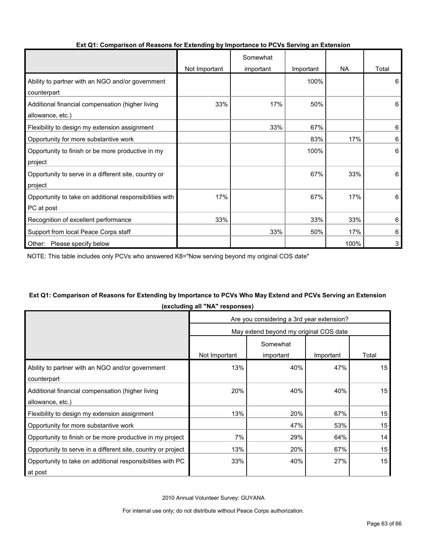|                                                         |               | Somewhat  |           |           |       |
|---------------------------------------------------------|---------------|-----------|-----------|-----------|-------|
|                                                         | Not Important | important | Important | <b>NA</b> | Total |
| Ability to partner with an NGO and/or government        |               |           | 100%      |           | 6     |
| counterpart                                             |               |           |           |           |       |
| Additional financial compensation (higher living        | 33%           | 17%       | 50%       |           | 6     |
| allowance, etc.)                                        |               |           |           |           |       |
| Flexibility to design my extension assignment           |               | 33%       | 67%       |           | 6     |
| Opportunity for more substantive work                   |               |           | 83%       | 17%       | 6     |
| Opportunity to finish or be more productive in my       |               |           | 100%      |           | 6     |
| project                                                 |               |           |           |           |       |
| Opportunity to serve in a different site, country or    |               |           | 67%       | 33%       | 6     |
| project                                                 |               |           |           |           |       |
| Opportunity to take on additional responsibilities with | 17%           |           | 67%       | 17%       | 6     |
| PC at post                                              |               |           |           |           |       |
| Recognition of excellent performance                    | 33%           |           | 33%       | 33%       | 6     |
| Support from local Peace Corps staff                    |               | 33%       | 50%       | 17%       | 6     |
| Other: Please specify below                             |               |           |           | 100%      | 3     |

#### **Ext Q1: Comparison of Reasons for Extending by Importance to PCVs Serving an Extension**

NOTE: This table includes only PCVs who answered K8="Now serving beyond my original COS date"

## **Ext Q1: Comparison of Reasons for Extending by Importance to PCVs Who May Extend and PCVs Serving an Extension (excluding all "NA" responses)**

|                                                              | Are you considering a 3rd year extension? |           |           |       |  |  |  |
|--------------------------------------------------------------|-------------------------------------------|-----------|-----------|-------|--|--|--|
|                                                              | May extend beyond my original COS date    |           |           |       |  |  |  |
|                                                              |                                           | Somewhat  |           |       |  |  |  |
|                                                              | Not Important                             | important | Important | Total |  |  |  |
| Ability to partner with an NGO and/or government             | 13%                                       | 40%       | 47%       | 15    |  |  |  |
| counterpart                                                  |                                           |           |           |       |  |  |  |
| Additional financial compensation (higher living             | 20%                                       | 40%       | 40%       | 15    |  |  |  |
| allowance, etc.)                                             |                                           |           |           |       |  |  |  |
| Flexibility to design my extension assignment                | 13%                                       | 20%       | 67%       | 15    |  |  |  |
| Opportunity for more substantive work                        |                                           | 47%       | 53%       | 15    |  |  |  |
| Opportunity to finish or be more productive in my project    | 7%                                        | 29%       | 64%       | 14    |  |  |  |
| Opportunity to serve in a different site, country or project | 13%                                       | 20%       | 67%       | 15    |  |  |  |
| Opportunity to take on additional responsibilities with PC   | 33%                                       | 40%       | 27%       | 15    |  |  |  |
| at post                                                      |                                           |           |           |       |  |  |  |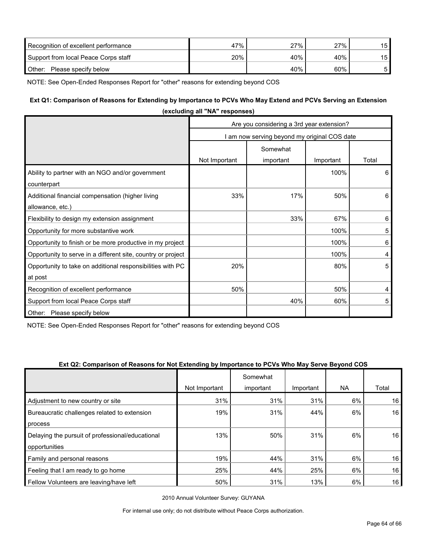| Recognition of excellent performance | 47% | $27\%$ | 27% | 15 |
|--------------------------------------|-----|--------|-----|----|
| Support from local Peace Corps staff | 20% | 40%    | 40% | 15 |
| Other:<br>Please specify below       |     | 40%    | 60% |    |

NOTE: See Open-Ended Responses Report for "other" reasons for extending beyond COS

### **Ext Q1: Comparison of Reasons for Extending by Importance to PCVs Who May Extend and PCVs Serving an Extension**

| (excluding all NA responses)                                          |                                              |           |           |       |  |  |  |
|-----------------------------------------------------------------------|----------------------------------------------|-----------|-----------|-------|--|--|--|
|                                                                       | Are you considering a 3rd year extension?    |           |           |       |  |  |  |
|                                                                       | I am now serving beyond my original COS date |           |           |       |  |  |  |
|                                                                       | Somewhat                                     |           |           |       |  |  |  |
|                                                                       | Not Important                                | important | Important | Total |  |  |  |
| Ability to partner with an NGO and/or government<br>counterpart       |                                              |           | 100%      | 6     |  |  |  |
| Additional financial compensation (higher living<br>allowance, etc.)  | 33%                                          | 17%       | 50%       | 6     |  |  |  |
| Flexibility to design my extension assignment                         |                                              | 33%       | 67%       | 6     |  |  |  |
| Opportunity for more substantive work                                 |                                              |           | 100%      | 5     |  |  |  |
| Opportunity to finish or be more productive in my project             |                                              |           | 100%      | 6     |  |  |  |
| Opportunity to serve in a different site, country or project          |                                              |           | 100%      | 4     |  |  |  |
| Opportunity to take on additional responsibilities with PC<br>at post | 20%                                          |           | 80%       | 5     |  |  |  |
| Recognition of excellent performance                                  | 50%                                          |           | 50%       | 4     |  |  |  |
| Support from local Peace Corps staff                                  |                                              | 40%       | 60%       | 5     |  |  |  |
| Please specify below<br>Other:                                        |                                              |           |           |       |  |  |  |

**(excluding all "NA" responses)**

NOTE: See Open-Ended Responses Report for "other" reasons for extending beyond COS

#### **Ext Q2: Comparison of Reasons for Not Extending by Importance to PCVs Who May Serve Beyond COS**

|                                                  |               | Somewhat  |           |           |       |
|--------------------------------------------------|---------------|-----------|-----------|-----------|-------|
|                                                  | Not Important | important | Important | <b>NA</b> | Total |
| Adjustment to new country or site                | 31%           | 31%       | 31%       | 6%        | 16    |
| Bureaucratic challenges related to extension     | 19%           | 31%       | 44%       | 6%        | 16    |
| process                                          |               |           |           |           |       |
| Delaying the pursuit of professional/educational | 13%           | 50%       | 31%       | 6%        | 16    |
| opportunities                                    |               |           |           |           |       |
| Family and personal reasons                      | 19%           | 44%       | 31%       | 6%        | 16    |
| Feeling that I am ready to go home               | 25%           | 44%       | 25%       | 6%        | 16    |
| Fellow Volunteers are leaving/have left          | 50%           | 31%       | 13%       | 6%        | 16    |

2010 Annual Volunteer Survey: GUYANA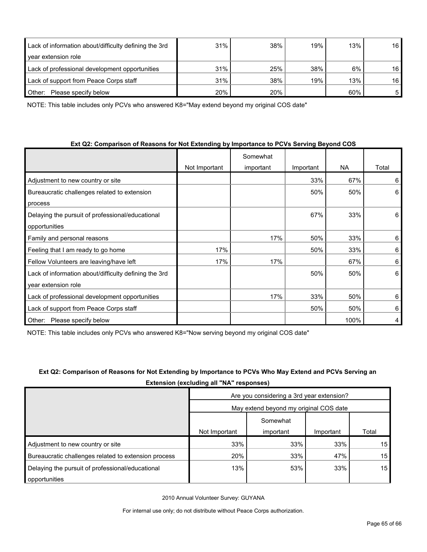| Lack of information about/difficulty defining the 3rd | 31% | 38% | 19% | 13% | 16 |
|-------------------------------------------------------|-----|-----|-----|-----|----|
| year extension role                                   |     |     |     |     |    |
| Lack of professional development opportunities        | 31% | 25% | 38% | 6%  | 16 |
| Lack of support from Peace Corps staff                | 31% | 38% | 19% | 13% | 16 |
| Please specify below<br>Other:                        | 20% | 20% |     | 60% | 5  |

NOTE: This table includes only PCVs who answered K8="May extend beyond my original COS date"

#### **Ext Q2: Comparison of Reasons for Not Extending by Importance to PCVs Serving Beyond COS**

|                                                       |               | Somewhat  |           |      |       |
|-------------------------------------------------------|---------------|-----------|-----------|------|-------|
|                                                       | Not Important | important | Important | NA.  | Total |
| Adjustment to new country or site                     |               |           | 33%       | 67%  | 6     |
| Bureaucratic challenges related to extension          |               |           | 50%       | 50%  | 6     |
| process                                               |               |           |           |      |       |
| Delaying the pursuit of professional/educational      |               |           | 67%       | 33%  | 6     |
| opportunities                                         |               |           |           |      |       |
| Family and personal reasons                           |               | 17%       | 50%       | 33%  | 6     |
| Feeling that I am ready to go home                    | 17%           |           | 50%       | 33%  | 6     |
| Fellow Volunteers are leaving/have left               | 17%           | 17%       |           | 67%  | 6     |
| Lack of information about/difficulty defining the 3rd |               |           | 50%       | 50%  | 6     |
| year extension role                                   |               |           |           |      |       |
| Lack of professional development opportunities        |               | 17%       | 33%       | 50%  | 6     |
| Lack of support from Peace Corps staff                |               |           | 50%       | 50%  | 6     |
| Other:<br>Please specify below                        |               |           |           | 100% | 4     |

NOTE: This table includes only PCVs who answered K8="Now serving beyond my original COS date"

## **Ext Q2: Comparison of Reasons for Not Extending by Importance to PCVs Who May Extend and PCVs Serving an Extension (excluding all "NA" responses)**

|                                                      | Are you considering a 3rd year extension?<br>May extend beyond my original COS date |           |           |       |  |  |  |
|------------------------------------------------------|-------------------------------------------------------------------------------------|-----------|-----------|-------|--|--|--|
|                                                      |                                                                                     |           |           |       |  |  |  |
|                                                      | Somewhat                                                                            |           |           |       |  |  |  |
|                                                      | Not Important                                                                       | important | Important | Total |  |  |  |
| Adjustment to new country or site                    | 33%                                                                                 | 33%       | 33%       | 15    |  |  |  |
| Bureaucratic challenges related to extension process | 20%                                                                                 | 33%       | 47%       | 15    |  |  |  |
| Delaying the pursuit of professional/educational     | 13%                                                                                 | 53%       | 33%       | 15    |  |  |  |
| opportunities                                        |                                                                                     |           |           |       |  |  |  |

2010 Annual Volunteer Survey: GUYANA